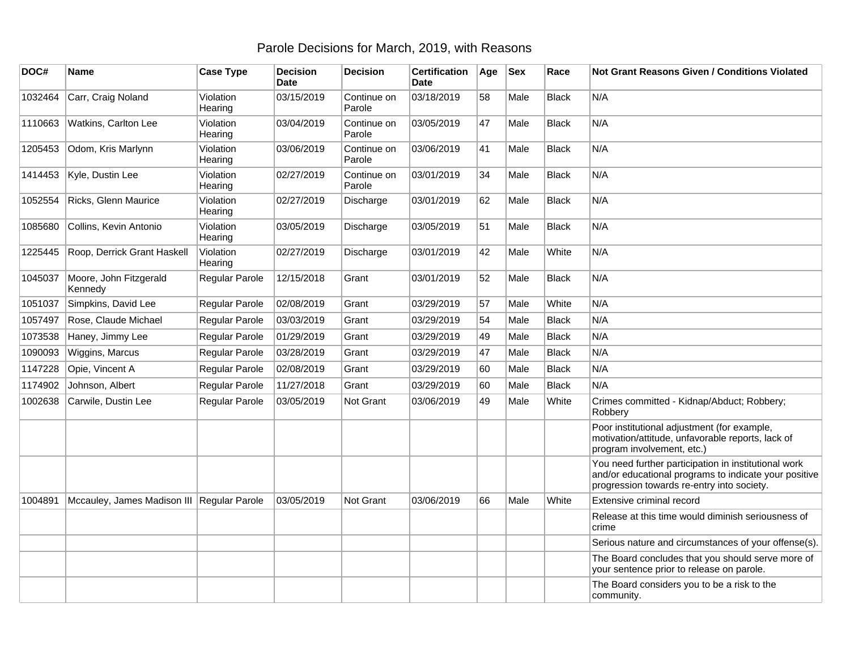## Parole Decisions for March, 2019, with Reasons

| DOC#    | <b>Name</b>                                | <b>Case Type</b>     | <b>Decision</b><br><b>Date</b> | <b>Decision</b>       | <b>Certification</b><br><b>Date</b> | Age | <b>Sex</b> | Race         | <b>Not Grant Reasons Given / Conditions Violated</b>                                                                                                        |
|---------|--------------------------------------------|----------------------|--------------------------------|-----------------------|-------------------------------------|-----|------------|--------------|-------------------------------------------------------------------------------------------------------------------------------------------------------------|
| 1032464 | Carr, Craig Noland                         | Violation<br>Hearing | 03/15/2019                     | Continue on<br>Parole | 03/18/2019                          | 58  | Male       | <b>Black</b> | N/A                                                                                                                                                         |
| 1110663 | Watkins, Carlton Lee                       | Violation<br>Hearing | 03/04/2019                     | Continue on<br>Parole | 03/05/2019                          | 47  | Male       | <b>Black</b> | N/A                                                                                                                                                         |
| 1205453 | Odom, Kris Marlynn                         | Violation<br>Hearing | 03/06/2019                     | Continue on<br>Parole | 03/06/2019                          | 41  | Male       | <b>Black</b> | N/A                                                                                                                                                         |
| 1414453 | Kyle, Dustin Lee                           | Violation<br>Hearing | 02/27/2019                     | Continue on<br>Parole | 03/01/2019                          | 34  | Male       | <b>Black</b> | N/A                                                                                                                                                         |
| 1052554 | Ricks, Glenn Maurice                       | Violation<br>Hearing | 02/27/2019                     | Discharge             | 03/01/2019                          | 62  | Male       | <b>Black</b> | N/A                                                                                                                                                         |
| 1085680 | Collins, Kevin Antonio                     | Violation<br>Hearing | 03/05/2019                     | Discharge             | 03/05/2019                          | 51  | Male       | <b>Black</b> | N/A                                                                                                                                                         |
| 1225445 | Roop, Derrick Grant Haskell                | Violation<br>Hearing | 02/27/2019                     | Discharge             | 03/01/2019                          | 42  | Male       | White        | N/A                                                                                                                                                         |
| 1045037 | Moore, John Fitzgerald<br>Kennedv          | Regular Parole       | 12/15/2018                     | Grant                 | 03/01/2019                          | 52  | Male       | <b>Black</b> | N/A                                                                                                                                                         |
| 1051037 | Simpkins, David Lee                        | Regular Parole       | 02/08/2019                     | Grant                 | 03/29/2019                          | 57  | Male       | White        | N/A                                                                                                                                                         |
| 1057497 | Rose, Claude Michael                       | Regular Parole       | 03/03/2019                     | Grant                 | 03/29/2019                          | 54  | Male       | <b>Black</b> | N/A                                                                                                                                                         |
| 1073538 | Haney, Jimmy Lee                           | Regular Parole       | 01/29/2019                     | Grant                 | 03/29/2019                          | 49  | Male       | <b>Black</b> | N/A                                                                                                                                                         |
| 1090093 | Wiggins, Marcus                            | Regular Parole       | 03/28/2019                     | Grant                 | 03/29/2019                          | 47  | Male       | <b>Black</b> | N/A                                                                                                                                                         |
| 1147228 | Opie, Vincent A                            | Regular Parole       | 02/08/2019                     | Grant                 | 03/29/2019                          | 60  | Male       | <b>Black</b> | N/A                                                                                                                                                         |
| 1174902 | Johnson, Albert                            | Regular Parole       | 11/27/2018                     | Grant                 | 03/29/2019                          | 60  | Male       | <b>Black</b> | N/A                                                                                                                                                         |
| 1002638 | Carwile, Dustin Lee                        | Regular Parole       | 03/05/2019                     | Not Grant             | 03/06/2019                          | 49  | Male       | White        | Crimes committed - Kidnap/Abduct; Robbery;<br>Robbery                                                                                                       |
|         |                                            |                      |                                |                       |                                     |     |            |              | Poor institutional adjustment (for example,<br>motivation/attitude, unfavorable reports, lack of<br>program involvement, etc.)                              |
|         |                                            |                      |                                |                       |                                     |     |            |              | You need further participation in institutional work<br>and/or educational programs to indicate your positive<br>progression towards re-entry into society. |
| 1004891 | Mccauley, James Madison III Regular Parole |                      | 03/05/2019                     | Not Grant             | 03/06/2019                          | 66  | Male       | White        | Extensive criminal record                                                                                                                                   |
|         |                                            |                      |                                |                       |                                     |     |            |              | Release at this time would diminish seriousness of<br>crime                                                                                                 |
|         |                                            |                      |                                |                       |                                     |     |            |              | Serious nature and circumstances of your offense(s).                                                                                                        |
|         |                                            |                      |                                |                       |                                     |     |            |              | The Board concludes that you should serve more of<br>your sentence prior to release on parole.                                                              |
|         |                                            |                      |                                |                       |                                     |     |            |              | The Board considers you to be a risk to the<br>community.                                                                                                   |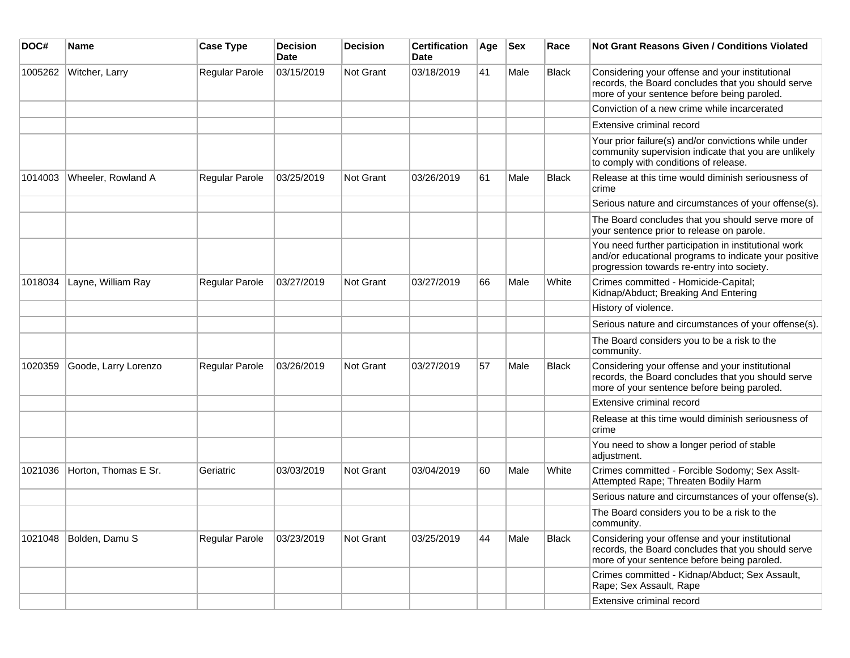| DOC#    | <b>Name</b>          | <b>Case Type</b> | <b>Decision</b><br><b>Date</b> | <b>Decision</b>  | <b>Certification</b><br>Date | Age | <b>Sex</b> | Race         | <b>Not Grant Reasons Given / Conditions Violated</b>                                                                                                        |
|---------|----------------------|------------------|--------------------------------|------------------|------------------------------|-----|------------|--------------|-------------------------------------------------------------------------------------------------------------------------------------------------------------|
| 1005262 | Witcher, Larry       | Regular Parole   | 03/15/2019                     | <b>Not Grant</b> | 03/18/2019                   | 41  | Male       | Black        | Considering your offense and your institutional<br>records, the Board concludes that you should serve<br>more of your sentence before being paroled.        |
|         |                      |                  |                                |                  |                              |     |            |              | Conviction of a new crime while incarcerated                                                                                                                |
|         |                      |                  |                                |                  |                              |     |            |              | Extensive criminal record                                                                                                                                   |
|         |                      |                  |                                |                  |                              |     |            |              | Your prior failure(s) and/or convictions while under<br>community supervision indicate that you are unlikely<br>to comply with conditions of release.       |
| 1014003 | Wheeler, Rowland A   | Regular Parole   | 03/25/2019                     | Not Grant        | 03/26/2019                   | 61  | Male       | <b>Black</b> | Release at this time would diminish seriousness of<br>crime                                                                                                 |
|         |                      |                  |                                |                  |                              |     |            |              | Serious nature and circumstances of your offense(s).                                                                                                        |
|         |                      |                  |                                |                  |                              |     |            |              | The Board concludes that you should serve more of<br>your sentence prior to release on parole.                                                              |
|         |                      |                  |                                |                  |                              |     |            |              | You need further participation in institutional work<br>and/or educational programs to indicate your positive<br>progression towards re-entry into society. |
| 1018034 | Layne, William Ray   | Regular Parole   | 03/27/2019                     | <b>Not Grant</b> | 03/27/2019                   | 66  | Male       | White        | Crimes committed - Homicide-Capital;<br>Kidnap/Abduct; Breaking And Entering                                                                                |
|         |                      |                  |                                |                  |                              |     |            |              | History of violence.                                                                                                                                        |
|         |                      |                  |                                |                  |                              |     |            |              | Serious nature and circumstances of your offense(s).                                                                                                        |
|         |                      |                  |                                |                  |                              |     |            |              | The Board considers you to be a risk to the<br>community.                                                                                                   |
| 1020359 | Goode, Larry Lorenzo | Regular Parole   | 03/26/2019                     | Not Grant        | 03/27/2019                   | 57  | Male       | <b>Black</b> | Considering your offense and your institutional<br>records, the Board concludes that you should serve<br>more of your sentence before being paroled.        |
|         |                      |                  |                                |                  |                              |     |            |              | Extensive criminal record                                                                                                                                   |
|         |                      |                  |                                |                  |                              |     |            |              | Release at this time would diminish seriousness of<br>crime                                                                                                 |
|         |                      |                  |                                |                  |                              |     |            |              | You need to show a longer period of stable<br>adjustment.                                                                                                   |
| 1021036 | Horton, Thomas E Sr. | Geriatric        | 03/03/2019                     | <b>Not Grant</b> | 03/04/2019                   | 60  | Male       | White        | Crimes committed - Forcible Sodomy; Sex Asslt-<br>Attempted Rape; Threaten Bodily Harm                                                                      |
|         |                      |                  |                                |                  |                              |     |            |              | Serious nature and circumstances of your offense(s).                                                                                                        |
|         |                      |                  |                                |                  |                              |     |            |              | The Board considers you to be a risk to the<br>community.                                                                                                   |
| 1021048 | Bolden, Damu S       | Regular Parole   | 03/23/2019                     | <b>Not Grant</b> | 03/25/2019                   | 44  | Male       | <b>Black</b> | Considering your offense and your institutional<br>records, the Board concludes that you should serve<br>more of your sentence before being paroled.        |
|         |                      |                  |                                |                  |                              |     |            |              | Crimes committed - Kidnap/Abduct; Sex Assault,<br>Rape; Sex Assault, Rape                                                                                   |
|         |                      |                  |                                |                  |                              |     |            |              | Extensive criminal record                                                                                                                                   |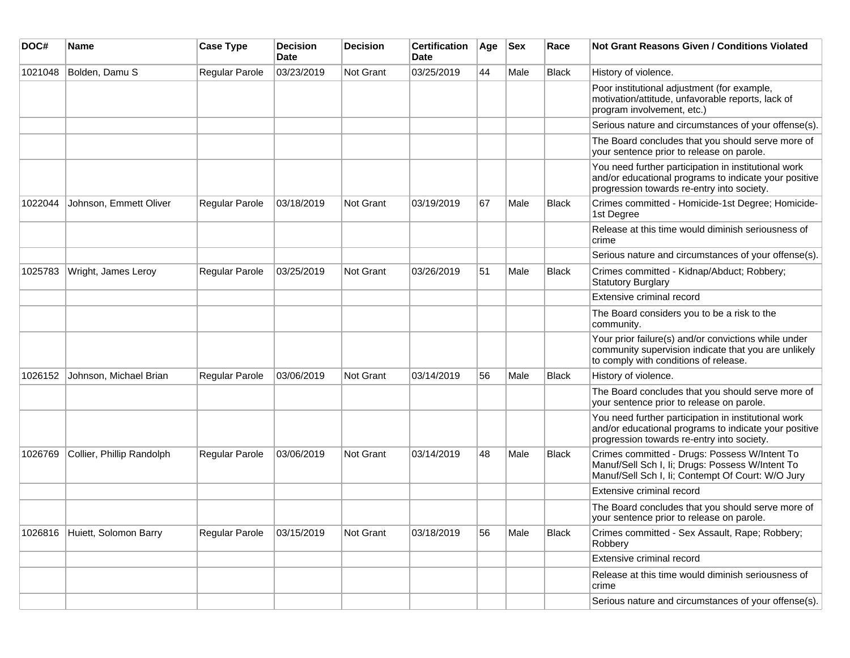| DOC#    | <b>Name</b>                   | <b>Case Type</b>      | <b>Decision</b><br><b>Date</b> | <b>Decision</b> | <b>Certification</b><br><b>Date</b> | Age | <b>Sex</b> | Race         | Not Grant Reasons Given / Conditions Violated                                                                                                               |
|---------|-------------------------------|-----------------------|--------------------------------|-----------------|-------------------------------------|-----|------------|--------------|-------------------------------------------------------------------------------------------------------------------------------------------------------------|
| 1021048 | Bolden, Damu S                | Regular Parole        | 03/23/2019                     | Not Grant       | 03/25/2019                          | 44  | Male       | <b>Black</b> | History of violence.                                                                                                                                        |
|         |                               |                       |                                |                 |                                     |     |            |              | Poor institutional adjustment (for example,<br>motivation/attitude, unfavorable reports, lack of<br>program involvement, etc.)                              |
|         |                               |                       |                                |                 |                                     |     |            |              | Serious nature and circumstances of your offense(s).                                                                                                        |
|         |                               |                       |                                |                 |                                     |     |            |              | The Board concludes that you should serve more of<br>your sentence prior to release on parole.                                                              |
|         |                               |                       |                                |                 |                                     |     |            |              | You need further participation in institutional work<br>and/or educational programs to indicate your positive<br>progression towards re-entry into society. |
| 1022044 | Johnson, Emmett Oliver        | Regular Parole        | 03/18/2019                     | Not Grant       | 03/19/2019                          | 67  | Male       | <b>Black</b> | Crimes committed - Homicide-1st Degree; Homicide-<br>1st Degree                                                                                             |
|         |                               |                       |                                |                 |                                     |     |            |              | Release at this time would diminish seriousness of<br>crime                                                                                                 |
|         |                               |                       |                                |                 |                                     |     |            |              | Serious nature and circumstances of your offense(s).                                                                                                        |
| 1025783 | Wright, James Leroy           | Regular Parole        | 03/25/2019                     | Not Grant       | 03/26/2019                          | 51  | Male       | Black        | Crimes committed - Kidnap/Abduct; Robbery;<br><b>Statutory Burglary</b>                                                                                     |
|         |                               |                       |                                |                 |                                     |     |            |              | Extensive criminal record                                                                                                                                   |
|         |                               |                       |                                |                 |                                     |     |            |              | The Board considers you to be a risk to the<br>community.                                                                                                   |
|         |                               |                       |                                |                 |                                     |     |            |              | Your prior failure(s) and/or convictions while under<br>community supervision indicate that you are unlikely<br>to comply with conditions of release.       |
| 1026152 | Johnson, Michael Brian        | Regular Parole        | 03/06/2019                     | Not Grant       | 03/14/2019                          | 56  | Male       | <b>Black</b> | History of violence.                                                                                                                                        |
|         |                               |                       |                                |                 |                                     |     |            |              | The Board concludes that you should serve more of<br>your sentence prior to release on parole.                                                              |
|         |                               |                       |                                |                 |                                     |     |            |              | You need further participation in institutional work<br>and/or educational programs to indicate your positive<br>progression towards re-entry into society. |
| 1026769 | Collier, Phillip Randolph     | <b>Regular Parole</b> | 03/06/2019                     | Not Grant       | 03/14/2019                          | 48  | Male       | <b>Black</b> | Crimes committed - Drugs: Possess W/Intent To<br>Manuf/Sell Sch I, Ii; Drugs: Possess W/Intent To<br>Manuf/Sell Sch I, Ii; Contempt Of Court: W/O Jury      |
|         |                               |                       |                                |                 |                                     |     |            |              | Extensive criminal record                                                                                                                                   |
|         |                               |                       |                                |                 |                                     |     |            |              | The Board concludes that you should serve more of<br>your sentence prior to release on parole.                                                              |
|         | 1026816 Huiett, Solomon Barry | Regular Parole        | 03/15/2019                     | Not Grant       | 03/18/2019                          | 56  | Male       | Black        | Crimes committed - Sex Assault, Rape; Robbery;<br>Robbery                                                                                                   |
|         |                               |                       |                                |                 |                                     |     |            |              | Extensive criminal record                                                                                                                                   |
|         |                               |                       |                                |                 |                                     |     |            |              | Release at this time would diminish seriousness of<br>crime                                                                                                 |
|         |                               |                       |                                |                 |                                     |     |            |              | Serious nature and circumstances of your offense(s).                                                                                                        |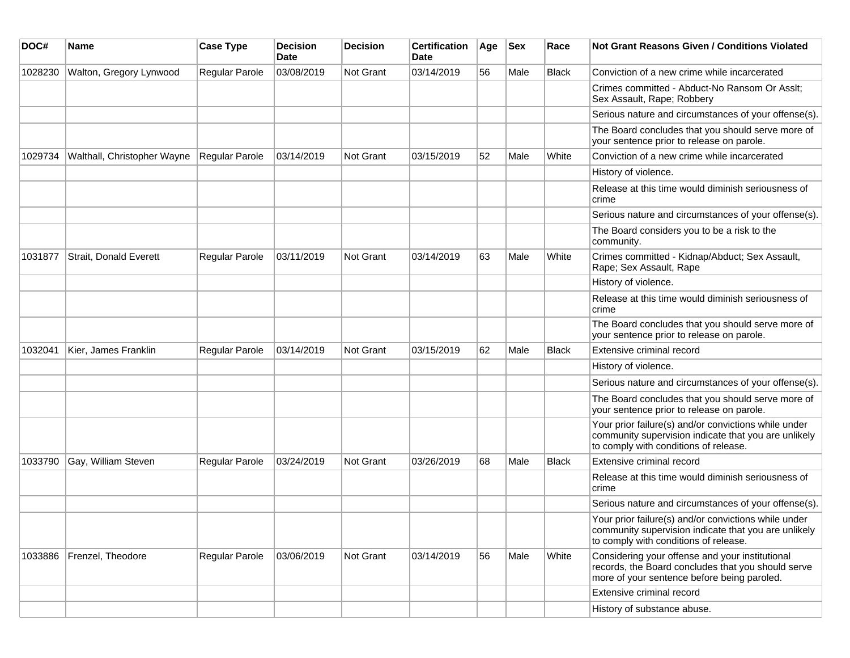| DOC#    | Name                        | <b>Case Type</b> | <b>Decision</b><br>Date | <b>Decision</b> | <b>Certification</b><br>Date | Age | Sex  | Race         | <b>Not Grant Reasons Given / Conditions Violated</b>                                                                                                  |
|---------|-----------------------------|------------------|-------------------------|-----------------|------------------------------|-----|------|--------------|-------------------------------------------------------------------------------------------------------------------------------------------------------|
| 1028230 | Walton, Gregory Lynwood     | Regular Parole   | 03/08/2019              | Not Grant       | 03/14/2019                   | 56  | Male | <b>Black</b> | Conviction of a new crime while incarcerated                                                                                                          |
|         |                             |                  |                         |                 |                              |     |      |              | Crimes committed - Abduct-No Ransom Or Asslt;<br>Sex Assault, Rape; Robbery                                                                           |
|         |                             |                  |                         |                 |                              |     |      |              | Serious nature and circumstances of your offense(s).                                                                                                  |
|         |                             |                  |                         |                 |                              |     |      |              | The Board concludes that you should serve more of<br>your sentence prior to release on parole.                                                        |
| 1029734 | Walthall, Christopher Wayne | Regular Parole   | 03/14/2019              | Not Grant       | 03/15/2019                   | 52  | Male | White        | Conviction of a new crime while incarcerated                                                                                                          |
|         |                             |                  |                         |                 |                              |     |      |              | History of violence.                                                                                                                                  |
|         |                             |                  |                         |                 |                              |     |      |              | Release at this time would diminish seriousness of<br>crime                                                                                           |
|         |                             |                  |                         |                 |                              |     |      |              | Serious nature and circumstances of your offense(s).                                                                                                  |
|         |                             |                  |                         |                 |                              |     |      |              | The Board considers you to be a risk to the<br>community.                                                                                             |
| 1031877 | Strait, Donald Everett      | Regular Parole   | 03/11/2019              | Not Grant       | 03/14/2019                   | 63  | Male | White        | Crimes committed - Kidnap/Abduct; Sex Assault,<br>Rape; Sex Assault, Rape                                                                             |
|         |                             |                  |                         |                 |                              |     |      |              | History of violence.                                                                                                                                  |
|         |                             |                  |                         |                 |                              |     |      |              | Release at this time would diminish seriousness of<br>crime                                                                                           |
|         |                             |                  |                         |                 |                              |     |      |              | The Board concludes that you should serve more of<br>your sentence prior to release on parole.                                                        |
| 1032041 | Kier, James Franklin        | Regular Parole   | 03/14/2019              | Not Grant       | 03/15/2019                   | 62  | Male | <b>Black</b> | Extensive criminal record                                                                                                                             |
|         |                             |                  |                         |                 |                              |     |      |              | History of violence.                                                                                                                                  |
|         |                             |                  |                         |                 |                              |     |      |              | Serious nature and circumstances of your offense(s).                                                                                                  |
|         |                             |                  |                         |                 |                              |     |      |              | The Board concludes that you should serve more of<br>your sentence prior to release on parole.                                                        |
|         |                             |                  |                         |                 |                              |     |      |              | Your prior failure(s) and/or convictions while under<br>community supervision indicate that you are unlikely<br>to comply with conditions of release. |
| 1033790 | Gay, William Steven         | Regular Parole   | 03/24/2019              | Not Grant       | 03/26/2019                   | 68  | Male | <b>Black</b> | Extensive criminal record                                                                                                                             |
|         |                             |                  |                         |                 |                              |     |      |              | Release at this time would diminish seriousness of<br>crime                                                                                           |
|         |                             |                  |                         |                 |                              |     |      |              | Serious nature and circumstances of your offense(s).                                                                                                  |
|         |                             |                  |                         |                 |                              |     |      |              | Your prior failure(s) and/or convictions while under<br>community supervision indicate that you are unlikely<br>to comply with conditions of release. |
| 1033886 | Frenzel, Theodore           | Regular Parole   | 03/06/2019              | Not Grant       | 03/14/2019                   | 56  | Male | White        | Considering your offense and your institutional<br>records, the Board concludes that you should serve<br>more of your sentence before being paroled.  |
|         |                             |                  |                         |                 |                              |     |      |              | Extensive criminal record                                                                                                                             |
|         |                             |                  |                         |                 |                              |     |      |              | History of substance abuse.                                                                                                                           |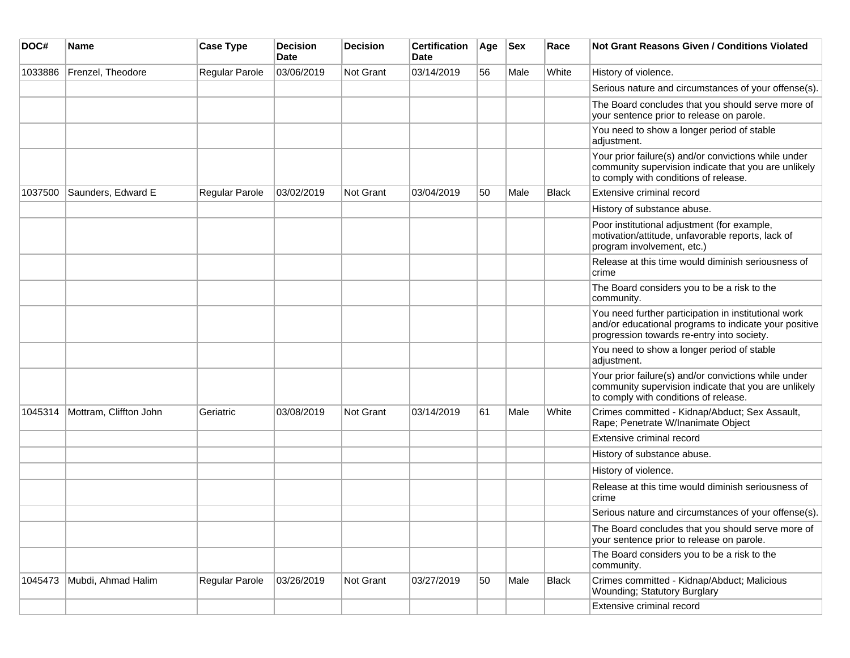| DOC#    | <b>Name</b>            | <b>Case Type</b> | <b>Decision</b><br><b>Date</b> | <b>Decision</b> | <b>Certification</b><br>Date | Age | <b>Sex</b> | Race  | <b>Not Grant Reasons Given / Conditions Violated</b>                                                                                                        |
|---------|------------------------|------------------|--------------------------------|-----------------|------------------------------|-----|------------|-------|-------------------------------------------------------------------------------------------------------------------------------------------------------------|
| 1033886 | Frenzel, Theodore      | Regular Parole   | 03/06/2019                     | Not Grant       | 03/14/2019                   | 56  | Male       | White | History of violence.                                                                                                                                        |
|         |                        |                  |                                |                 |                              |     |            |       | Serious nature and circumstances of your offense(s).                                                                                                        |
|         |                        |                  |                                |                 |                              |     |            |       | The Board concludes that you should serve more of<br>your sentence prior to release on parole.                                                              |
|         |                        |                  |                                |                 |                              |     |            |       | You need to show a longer period of stable<br>adjustment.                                                                                                   |
|         |                        |                  |                                |                 |                              |     |            |       | Your prior failure(s) and/or convictions while under<br>community supervision indicate that you are unlikely<br>to comply with conditions of release.       |
| 1037500 | Saunders, Edward E     | Regular Parole   | 03/02/2019                     | Not Grant       | 03/04/2019                   | 50  | Male       | Black | Extensive criminal record                                                                                                                                   |
|         |                        |                  |                                |                 |                              |     |            |       | History of substance abuse.                                                                                                                                 |
|         |                        |                  |                                |                 |                              |     |            |       | Poor institutional adjustment (for example,<br>motivation/attitude, unfavorable reports, lack of<br>program involvement, etc.)                              |
|         |                        |                  |                                |                 |                              |     |            |       | Release at this time would diminish seriousness of<br>crime                                                                                                 |
|         |                        |                  |                                |                 |                              |     |            |       | The Board considers you to be a risk to the<br>community.                                                                                                   |
|         |                        |                  |                                |                 |                              |     |            |       | You need further participation in institutional work<br>and/or educational programs to indicate your positive<br>progression towards re-entry into society. |
|         |                        |                  |                                |                 |                              |     |            |       | You need to show a longer period of stable<br>adjustment.                                                                                                   |
|         |                        |                  |                                |                 |                              |     |            |       | Your prior failure(s) and/or convictions while under<br>community supervision indicate that you are unlikely<br>to comply with conditions of release.       |
| 1045314 | Mottram, Cliffton John | Geriatric        | 03/08/2019                     | Not Grant       | 03/14/2019                   | 61  | Male       | White | Crimes committed - Kidnap/Abduct; Sex Assault,<br>Rape; Penetrate W/Inanimate Object                                                                        |
|         |                        |                  |                                |                 |                              |     |            |       | Extensive criminal record                                                                                                                                   |
|         |                        |                  |                                |                 |                              |     |            |       | History of substance abuse.                                                                                                                                 |
|         |                        |                  |                                |                 |                              |     |            |       | History of violence.                                                                                                                                        |
|         |                        |                  |                                |                 |                              |     |            |       | Release at this time would diminish seriousness of<br>crime                                                                                                 |
|         |                        |                  |                                |                 |                              |     |            |       | Serious nature and circumstances of your offense(s).                                                                                                        |
|         |                        |                  |                                |                 |                              |     |            |       | The Board concludes that you should serve more of<br>your sentence prior to release on parole.                                                              |
|         |                        |                  |                                |                 |                              |     |            |       | The Board considers you to be a risk to the<br>community.                                                                                                   |
| 1045473 | Mubdi, Ahmad Halim     | Regular Parole   | 03/26/2019                     | Not Grant       | 03/27/2019                   | 50  | Male       | Black | Crimes committed - Kidnap/Abduct; Malicious<br>Wounding; Statutory Burglary                                                                                 |
|         |                        |                  |                                |                 |                              |     |            |       | Extensive criminal record                                                                                                                                   |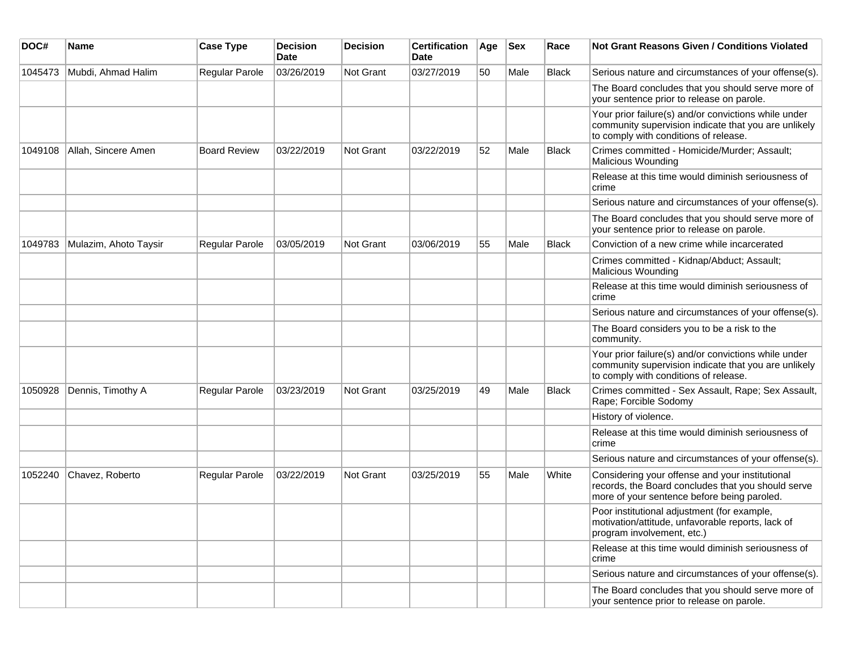| DOC#    | Name                  | <b>Case Type</b>    | <b>Decision</b><br>Date | <b>Decision</b>  | <b>Certification</b><br>Date | Age | <b>Sex</b> | Race         | Not Grant Reasons Given / Conditions Violated                                                                                                         |
|---------|-----------------------|---------------------|-------------------------|------------------|------------------------------|-----|------------|--------------|-------------------------------------------------------------------------------------------------------------------------------------------------------|
| 1045473 | Mubdi, Ahmad Halim    | Regular Parole      | 03/26/2019              | Not Grant        | 03/27/2019                   | 50  | Male       | <b>Black</b> | Serious nature and circumstances of your offense(s).                                                                                                  |
|         |                       |                     |                         |                  |                              |     |            |              | The Board concludes that you should serve more of<br>your sentence prior to release on parole.                                                        |
|         |                       |                     |                         |                  |                              |     |            |              | Your prior failure(s) and/or convictions while under<br>community supervision indicate that you are unlikely<br>to comply with conditions of release. |
| 1049108 | Allah, Sincere Amen   | <b>Board Review</b> | 03/22/2019              | Not Grant        | 03/22/2019                   | 52  | Male       | <b>Black</b> | Crimes committed - Homicide/Murder; Assault;<br><b>Malicious Wounding</b>                                                                             |
|         |                       |                     |                         |                  |                              |     |            |              | Release at this time would diminish seriousness of<br>crime                                                                                           |
|         |                       |                     |                         |                  |                              |     |            |              | Serious nature and circumstances of your offense(s).                                                                                                  |
|         |                       |                     |                         |                  |                              |     |            |              | The Board concludes that you should serve more of<br>your sentence prior to release on parole.                                                        |
| 1049783 | Mulazim, Ahoto Taysir | Regular Parole      | 03/05/2019              | <b>Not Grant</b> | 03/06/2019                   | 55  | Male       | <b>Black</b> | Conviction of a new crime while incarcerated                                                                                                          |
|         |                       |                     |                         |                  |                              |     |            |              | Crimes committed - Kidnap/Abduct; Assault;<br><b>Malicious Wounding</b>                                                                               |
|         |                       |                     |                         |                  |                              |     |            |              | Release at this time would diminish seriousness of<br>crime                                                                                           |
|         |                       |                     |                         |                  |                              |     |            |              | Serious nature and circumstances of your offense(s).                                                                                                  |
|         |                       |                     |                         |                  |                              |     |            |              | The Board considers you to be a risk to the<br>community.                                                                                             |
|         |                       |                     |                         |                  |                              |     |            |              | Your prior failure(s) and/or convictions while under<br>community supervision indicate that you are unlikely<br>to comply with conditions of release. |
| 1050928 | Dennis, Timothy A     | Regular Parole      | 03/23/2019              | <b>Not Grant</b> | 03/25/2019                   | 49  | Male       | <b>Black</b> | Crimes committed - Sex Assault, Rape; Sex Assault,<br>Rape; Forcible Sodomy                                                                           |
|         |                       |                     |                         |                  |                              |     |            |              | History of violence.                                                                                                                                  |
|         |                       |                     |                         |                  |                              |     |            |              | Release at this time would diminish seriousness of<br>crime                                                                                           |
|         |                       |                     |                         |                  |                              |     |            |              | Serious nature and circumstances of your offense(s).                                                                                                  |
| 1052240 | Chavez, Roberto       | Regular Parole      | 03/22/2019              | Not Grant        | 03/25/2019                   | 55  | Male       | White        | Considering your offense and your institutional<br>records, the Board concludes that you should serve<br>more of your sentence before being paroled.  |
|         |                       |                     |                         |                  |                              |     |            |              | Poor institutional adjustment (for example,<br>motivation/attitude, unfavorable reports, lack of<br>program involvement, etc.)                        |
|         |                       |                     |                         |                  |                              |     |            |              | Release at this time would diminish seriousness of<br>crime                                                                                           |
|         |                       |                     |                         |                  |                              |     |            |              | Serious nature and circumstances of your offense(s).                                                                                                  |
|         |                       |                     |                         |                  |                              |     |            |              | The Board concludes that you should serve more of<br>your sentence prior to release on parole.                                                        |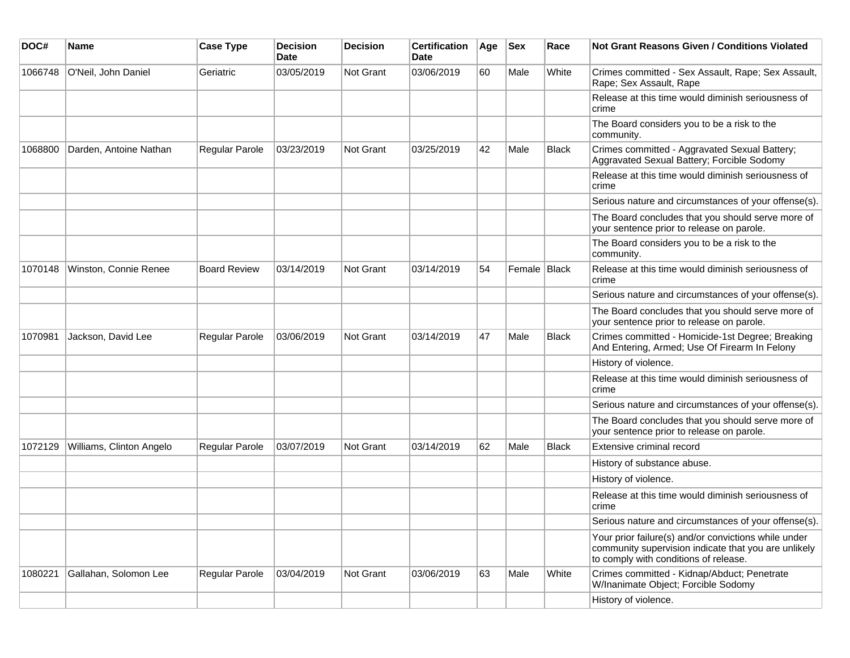| DOC#    | <b>Name</b>              | <b>Case Type</b>    | <b>Decision</b><br><b>Date</b> | <b>Decision</b> | <b>Certification</b><br>Date | Age | <b>Sex</b>     | Race         | <b>Not Grant Reasons Given / Conditions Violated</b>                                                                                                  |
|---------|--------------------------|---------------------|--------------------------------|-----------------|------------------------------|-----|----------------|--------------|-------------------------------------------------------------------------------------------------------------------------------------------------------|
| 1066748 | O'Neil, John Daniel      | Geriatric           | 03/05/2019                     | Not Grant       | 03/06/2019                   | 60  | Male           | White        | Crimes committed - Sex Assault, Rape; Sex Assault,<br>Rape; Sex Assault, Rape                                                                         |
|         |                          |                     |                                |                 |                              |     |                |              | Release at this time would diminish seriousness of<br>crime                                                                                           |
|         |                          |                     |                                |                 |                              |     |                |              | The Board considers you to be a risk to the<br>community.                                                                                             |
| 1068800 | Darden, Antoine Nathan   | Regular Parole      | 03/23/2019                     | Not Grant       | 03/25/2019                   | 42  | Male           | <b>Black</b> | Crimes committed - Aggravated Sexual Battery;<br>Aggravated Sexual Battery; Forcible Sodomy                                                           |
|         |                          |                     |                                |                 |                              |     |                |              | Release at this time would diminish seriousness of<br>crime                                                                                           |
|         |                          |                     |                                |                 |                              |     |                |              | Serious nature and circumstances of your offense(s).                                                                                                  |
|         |                          |                     |                                |                 |                              |     |                |              | The Board concludes that you should serve more of<br>your sentence prior to release on parole.                                                        |
|         |                          |                     |                                |                 |                              |     |                |              | The Board considers you to be a risk to the<br>community.                                                                                             |
| 1070148 | Winston, Connie Renee    | <b>Board Review</b> | 03/14/2019                     | Not Grant       | 03/14/2019                   | 54  | Female   Black |              | Release at this time would diminish seriousness of<br>crime                                                                                           |
|         |                          |                     |                                |                 |                              |     |                |              | Serious nature and circumstances of your offense(s).                                                                                                  |
|         |                          |                     |                                |                 |                              |     |                |              | The Board concludes that you should serve more of<br>your sentence prior to release on parole.                                                        |
| 1070981 | Jackson, David Lee       | Regular Parole      | 03/06/2019                     | Not Grant       | 03/14/2019                   | 47  | Male           | <b>Black</b> | Crimes committed - Homicide-1st Degree; Breaking<br>And Entering, Armed; Use Of Firearm In Felony                                                     |
|         |                          |                     |                                |                 |                              |     |                |              | History of violence.                                                                                                                                  |
|         |                          |                     |                                |                 |                              |     |                |              | Release at this time would diminish seriousness of<br>crime                                                                                           |
|         |                          |                     |                                |                 |                              |     |                |              | Serious nature and circumstances of your offense(s).                                                                                                  |
|         |                          |                     |                                |                 |                              |     |                |              | The Board concludes that you should serve more of<br>your sentence prior to release on parole.                                                        |
| 1072129 | Williams, Clinton Angelo | Regular Parole      | 03/07/2019                     | Not Grant       | 03/14/2019                   | 62  | Male           | <b>Black</b> | Extensive criminal record                                                                                                                             |
|         |                          |                     |                                |                 |                              |     |                |              | History of substance abuse.                                                                                                                           |
|         |                          |                     |                                |                 |                              |     |                |              | History of violence.                                                                                                                                  |
|         |                          |                     |                                |                 |                              |     |                |              | Release at this time would diminish seriousness of<br>crime                                                                                           |
|         |                          |                     |                                |                 |                              |     |                |              | Serious nature and circumstances of your offense(s).                                                                                                  |
|         |                          |                     |                                |                 |                              |     |                |              | Your prior failure(s) and/or convictions while under<br>community supervision indicate that you are unlikely<br>to comply with conditions of release. |
| 1080221 | Gallahan, Solomon Lee    | Regular Parole      | 03/04/2019                     | Not Grant       | 03/06/2019                   | 63  | Male           | White        | Crimes committed - Kidnap/Abduct; Penetrate<br>W/Inanimate Object; Forcible Sodomy                                                                    |
|         |                          |                     |                                |                 |                              |     |                |              | History of violence.                                                                                                                                  |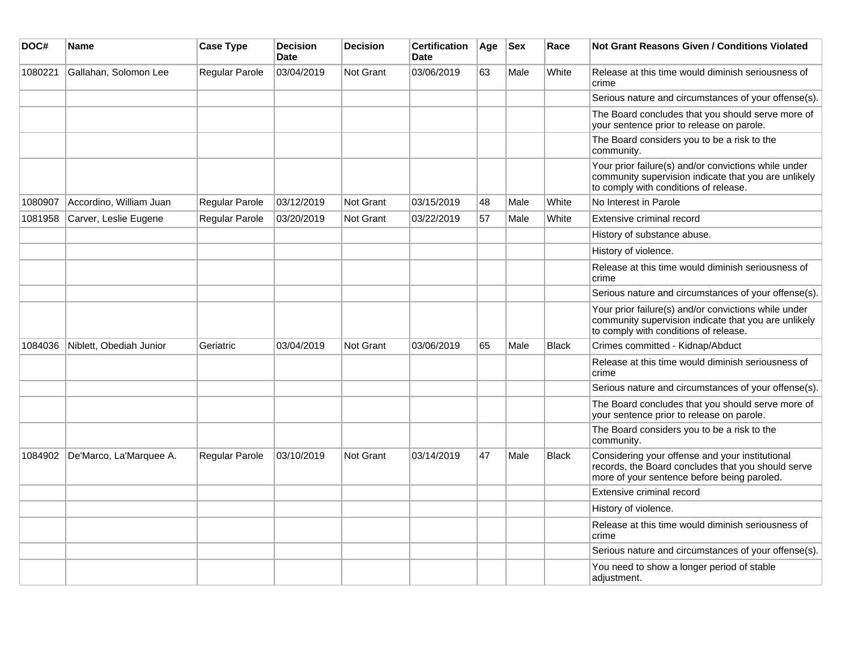| DOC#    | <b>Name</b>             | <b>Case Type</b>      | <b>Decision</b><br><b>Date</b> | <b>Decision</b>  | <b>Certification</b><br><b>Date</b> | Age | <b>Sex</b> | Race         | <b>Not Grant Reasons Given / Conditions Violated</b>                                                                                                  |
|---------|-------------------------|-----------------------|--------------------------------|------------------|-------------------------------------|-----|------------|--------------|-------------------------------------------------------------------------------------------------------------------------------------------------------|
| 1080221 | Gallahan, Solomon Lee   | Regular Parole        | 03/04/2019                     | Not Grant        | 03/06/2019                          | 63  | Male       | White        | Release at this time would diminish seriousness of<br>crime                                                                                           |
|         |                         |                       |                                |                  |                                     |     |            |              | Serious nature and circumstances of your offense(s).                                                                                                  |
|         |                         |                       |                                |                  |                                     |     |            |              | The Board concludes that you should serve more of<br>your sentence prior to release on parole.                                                        |
|         |                         |                       |                                |                  |                                     |     |            |              | The Board considers you to be a risk to the<br>community.                                                                                             |
|         |                         |                       |                                |                  |                                     |     |            |              | Your prior failure(s) and/or convictions while under<br>community supervision indicate that you are unlikely<br>to comply with conditions of release. |
| 1080907 | Accordino, William Juan | Regular Parole        | 03/12/2019                     | Not Grant        | 03/15/2019                          | 48  | Male       | White        | No Interest in Parole                                                                                                                                 |
| 1081958 | Carver, Leslie Eugene   | Regular Parole        | 03/20/2019                     | <b>Not Grant</b> | 03/22/2019                          | 57  | Male       | White        | Extensive criminal record                                                                                                                             |
|         |                         |                       |                                |                  |                                     |     |            |              | History of substance abuse.                                                                                                                           |
|         |                         |                       |                                |                  |                                     |     |            |              | History of violence.                                                                                                                                  |
|         |                         |                       |                                |                  |                                     |     |            |              | Release at this time would diminish seriousness of<br>crime                                                                                           |
|         |                         |                       |                                |                  |                                     |     |            |              | Serious nature and circumstances of your offense(s).                                                                                                  |
|         |                         |                       |                                |                  |                                     |     |            |              | Your prior failure(s) and/or convictions while under<br>community supervision indicate that you are unlikely<br>to comply with conditions of release. |
| 1084036 | Niblett, Obediah Junior | Geriatric             | 03/04/2019                     | <b>Not Grant</b> | 03/06/2019                          | 65  | Male       | Black        | Crimes committed - Kidnap/Abduct                                                                                                                      |
|         |                         |                       |                                |                  |                                     |     |            |              | Release at this time would diminish seriousness of<br>crime                                                                                           |
|         |                         |                       |                                |                  |                                     |     |            |              | Serious nature and circumstances of your offense(s).                                                                                                  |
|         |                         |                       |                                |                  |                                     |     |            |              | The Board concludes that you should serve more of<br>your sentence prior to release on parole.                                                        |
|         |                         |                       |                                |                  |                                     |     |            |              | The Board considers you to be a risk to the<br>community.                                                                                             |
| 1084902 | De'Marco, La'Marquee A. | <b>Regular Parole</b> | 03/10/2019                     | Not Grant        | 03/14/2019                          | 47  | Male       | <b>Black</b> | Considering your offense and your institutional<br>records, the Board concludes that you should serve<br>more of your sentence before being paroled.  |
|         |                         |                       |                                |                  |                                     |     |            |              | Extensive criminal record                                                                                                                             |
|         |                         |                       |                                |                  |                                     |     |            |              | History of violence.                                                                                                                                  |
|         |                         |                       |                                |                  |                                     |     |            |              | Release at this time would diminish seriousness of<br>crime                                                                                           |
|         |                         |                       |                                |                  |                                     |     |            |              | Serious nature and circumstances of your offense(s).                                                                                                  |
|         |                         |                       |                                |                  |                                     |     |            |              | You need to show a longer period of stable<br>adjustment.                                                                                             |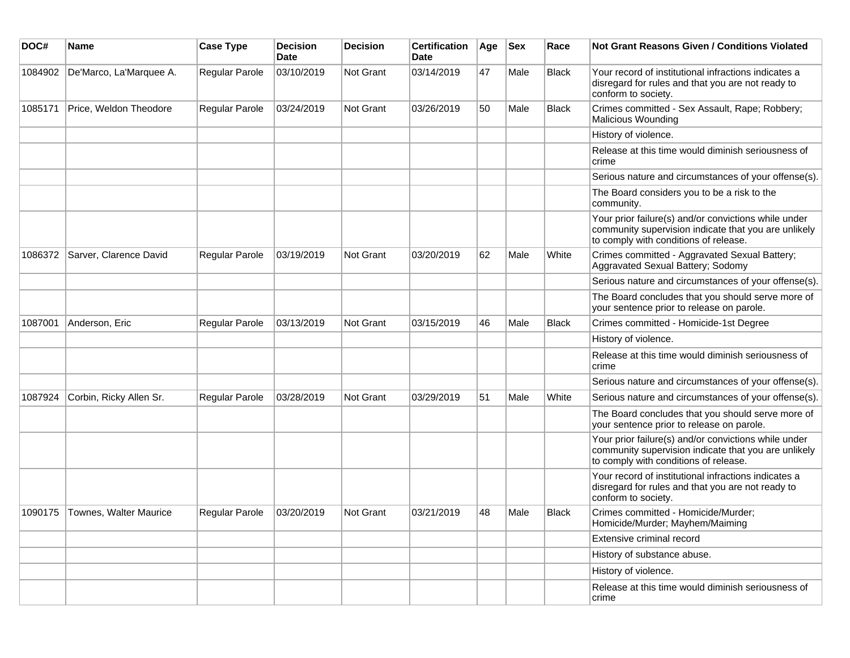| DOC#    | <b>Name</b>             | <b>Case Type</b>      | <b>Decision</b><br>Date | <b>Decision</b> | <b>Certification</b><br>Date | Age | <b>Sex</b> | Race         | Not Grant Reasons Given / Conditions Violated                                                                                                         |
|---------|-------------------------|-----------------------|-------------------------|-----------------|------------------------------|-----|------------|--------------|-------------------------------------------------------------------------------------------------------------------------------------------------------|
| 1084902 | De'Marco, La'Marquee A. | Regular Parole        | 03/10/2019              | Not Grant       | 03/14/2019                   | 47  | Male       | Black        | Your record of institutional infractions indicates a<br>disregard for rules and that you are not ready to<br>conform to society.                      |
| 1085171 | Price, Weldon Theodore  | <b>Regular Parole</b> | 03/24/2019              | Not Grant       | 03/26/2019                   | 50  | Male       | <b>Black</b> | Crimes committed - Sex Assault, Rape; Robbery;<br><b>Malicious Wounding</b>                                                                           |
|         |                         |                       |                         |                 |                              |     |            |              | History of violence.                                                                                                                                  |
|         |                         |                       |                         |                 |                              |     |            |              | Release at this time would diminish seriousness of<br>crime                                                                                           |
|         |                         |                       |                         |                 |                              |     |            |              | Serious nature and circumstances of your offense(s).                                                                                                  |
|         |                         |                       |                         |                 |                              |     |            |              | The Board considers you to be a risk to the<br>community.                                                                                             |
|         |                         |                       |                         |                 |                              |     |            |              | Your prior failure(s) and/or convictions while under<br>community supervision indicate that you are unlikely<br>to comply with conditions of release. |
| 1086372 | Sarver, Clarence David  | Regular Parole        | 03/19/2019              | Not Grant       | 03/20/2019                   | 62  | Male       | White        | Crimes committed - Aggravated Sexual Battery;<br>Aggravated Sexual Battery; Sodomy                                                                    |
|         |                         |                       |                         |                 |                              |     |            |              | Serious nature and circumstances of your offense(s).                                                                                                  |
|         |                         |                       |                         |                 |                              |     |            |              | The Board concludes that you should serve more of<br>your sentence prior to release on parole.                                                        |
| 1087001 | Anderson, Eric          | Regular Parole        | 03/13/2019              | Not Grant       | 03/15/2019                   | 46  | Male       | <b>Black</b> | Crimes committed - Homicide-1st Degree                                                                                                                |
|         |                         |                       |                         |                 |                              |     |            |              | History of violence.                                                                                                                                  |
|         |                         |                       |                         |                 |                              |     |            |              | Release at this time would diminish seriousness of<br>crime                                                                                           |
|         |                         |                       |                         |                 |                              |     |            |              | Serious nature and circumstances of your offense(s).                                                                                                  |
| 1087924 | Corbin, Ricky Allen Sr. | <b>Regular Parole</b> | 03/28/2019              | Not Grant       | 03/29/2019                   | 51  | Male       | White        | Serious nature and circumstances of your offense(s).                                                                                                  |
|         |                         |                       |                         |                 |                              |     |            |              | The Board concludes that you should serve more of<br>your sentence prior to release on parole.                                                        |
|         |                         |                       |                         |                 |                              |     |            |              | Your prior failure(s) and/or convictions while under<br>community supervision indicate that you are unlikely<br>to comply with conditions of release. |
|         |                         |                       |                         |                 |                              |     |            |              | Your record of institutional infractions indicates a<br>disregard for rules and that you are not ready to<br>conform to society.                      |
| 1090175 | Townes, Walter Maurice  | <b>Regular Parole</b> | 03/20/2019              | Not Grant       | 03/21/2019                   | 48  | Male       | <b>Black</b> | Crimes committed - Homicide/Murder;<br>Homicide/Murder; Mayhem/Maiming                                                                                |
|         |                         |                       |                         |                 |                              |     |            |              | Extensive criminal record                                                                                                                             |
|         |                         |                       |                         |                 |                              |     |            |              | History of substance abuse.                                                                                                                           |
|         |                         |                       |                         |                 |                              |     |            |              | History of violence.                                                                                                                                  |
|         |                         |                       |                         |                 |                              |     |            |              | Release at this time would diminish seriousness of<br>crime                                                                                           |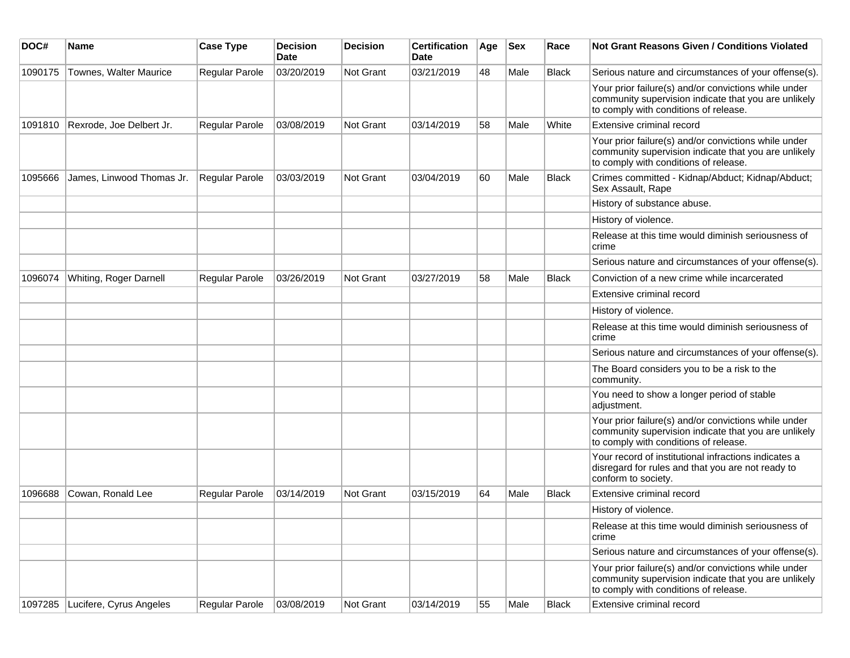| DOC#    | Name                            | <b>Case Type</b>      | <b>Decision</b><br><b>Date</b> | <b>Decision</b>  | <b>Certification</b><br><b>Date</b> | Age | <b>Sex</b> | Race         | <b>Not Grant Reasons Given / Conditions Violated</b>                                                                                                  |
|---------|---------------------------------|-----------------------|--------------------------------|------------------|-------------------------------------|-----|------------|--------------|-------------------------------------------------------------------------------------------------------------------------------------------------------|
| 1090175 | Townes, Walter Maurice          | Regular Parole        | 03/20/2019                     | Not Grant        | 03/21/2019                          | 48  | Male       | <b>Black</b> | Serious nature and circumstances of your offense(s).                                                                                                  |
|         |                                 |                       |                                |                  |                                     |     |            |              | Your prior failure(s) and/or convictions while under<br>community supervision indicate that you are unlikely<br>to comply with conditions of release. |
| 1091810 | Rexrode, Joe Delbert Jr.        | Regular Parole        | 03/08/2019                     | <b>Not Grant</b> | 03/14/2019                          | 58  | Male       | White        | Extensive criminal record                                                                                                                             |
|         |                                 |                       |                                |                  |                                     |     |            |              | Your prior failure(s) and/or convictions while under<br>community supervision indicate that you are unlikely<br>to comply with conditions of release. |
| 1095666 | James, Linwood Thomas Jr.       | Regular Parole        | 03/03/2019                     | <b>Not Grant</b> | 03/04/2019                          | 60  | Male       | Black        | Crimes committed - Kidnap/Abduct; Kidnap/Abduct;<br>Sex Assault, Rape                                                                                 |
|         |                                 |                       |                                |                  |                                     |     |            |              | History of substance abuse.                                                                                                                           |
|         |                                 |                       |                                |                  |                                     |     |            |              | History of violence.                                                                                                                                  |
|         |                                 |                       |                                |                  |                                     |     |            |              | Release at this time would diminish seriousness of<br>crime                                                                                           |
|         |                                 |                       |                                |                  |                                     |     |            |              | Serious nature and circumstances of your offense(s).                                                                                                  |
| 1096074 | Whiting, Roger Darnell          | <b>Regular Parole</b> | 03/26/2019                     | <b>Not Grant</b> | 03/27/2019                          | 58  | Male       | Black        | Conviction of a new crime while incarcerated                                                                                                          |
|         |                                 |                       |                                |                  |                                     |     |            |              | Extensive criminal record                                                                                                                             |
|         |                                 |                       |                                |                  |                                     |     |            |              | History of violence.                                                                                                                                  |
|         |                                 |                       |                                |                  |                                     |     |            |              | Release at this time would diminish seriousness of<br>crime                                                                                           |
|         |                                 |                       |                                |                  |                                     |     |            |              | Serious nature and circumstances of your offense(s).                                                                                                  |
|         |                                 |                       |                                |                  |                                     |     |            |              | The Board considers you to be a risk to the<br>community.                                                                                             |
|         |                                 |                       |                                |                  |                                     |     |            |              | You need to show a longer period of stable<br>adjustment.                                                                                             |
|         |                                 |                       |                                |                  |                                     |     |            |              | Your prior failure(s) and/or convictions while under<br>community supervision indicate that you are unlikely<br>to comply with conditions of release. |
|         |                                 |                       |                                |                  |                                     |     |            |              | Your record of institutional infractions indicates a<br>disregard for rules and that you are not ready to<br>conform to society.                      |
| 1096688 | Cowan, Ronald Lee               | <b>Regular Parole</b> | 03/14/2019                     | <b>Not Grant</b> | 03/15/2019                          | 64  | Male       | <b>Black</b> | Extensive criminal record                                                                                                                             |
|         |                                 |                       |                                |                  |                                     |     |            |              | History of violence.                                                                                                                                  |
|         |                                 |                       |                                |                  |                                     |     |            |              | Release at this time would diminish seriousness of<br>crime                                                                                           |
|         |                                 |                       |                                |                  |                                     |     |            |              | Serious nature and circumstances of your offense(s).                                                                                                  |
|         |                                 |                       |                                |                  |                                     |     |            |              | Your prior failure(s) and/or convictions while under<br>community supervision indicate that you are unlikely<br>to comply with conditions of release. |
|         | 1097285 Lucifere, Cyrus Angeles | Regular Parole        | 03/08/2019                     | Not Grant        | 03/14/2019                          | 55  | Male       | Black        | Extensive criminal record                                                                                                                             |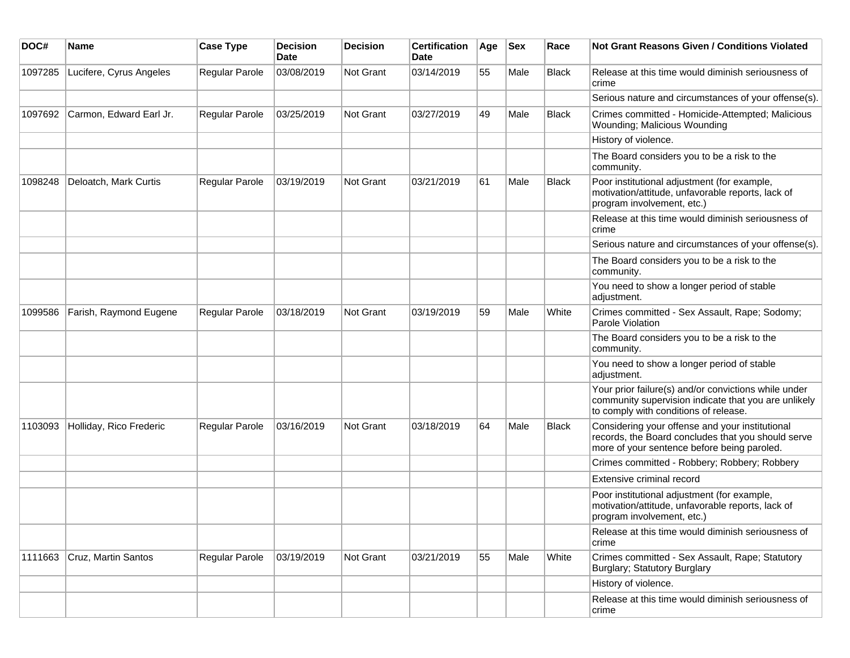| DOC#    | Name                    | <b>Case Type</b>      | <b>Decision</b><br>Date | <b>Decision</b>  | <b>Certification</b><br>Date | Age | <b>Sex</b> | Race         | Not Grant Reasons Given / Conditions Violated                                                                                                         |
|---------|-------------------------|-----------------------|-------------------------|------------------|------------------------------|-----|------------|--------------|-------------------------------------------------------------------------------------------------------------------------------------------------------|
| 1097285 | Lucifere, Cyrus Angeles | Regular Parole        | 03/08/2019              | Not Grant        | 03/14/2019                   | 55  | Male       | <b>Black</b> | Release at this time would diminish seriousness of<br>crime                                                                                           |
|         |                         |                       |                         |                  |                              |     |            |              | Serious nature and circumstances of your offense(s).                                                                                                  |
| 1097692 | Carmon, Edward Earl Jr. | <b>Regular Parole</b> | 03/25/2019              | Not Grant        | 03/27/2019                   | 49  | Male       | <b>Black</b> | Crimes committed - Homicide-Attempted; Malicious<br>Wounding; Malicious Wounding                                                                      |
|         |                         |                       |                         |                  |                              |     |            |              | History of violence.                                                                                                                                  |
|         |                         |                       |                         |                  |                              |     |            |              | The Board considers you to be a risk to the<br>community.                                                                                             |
| 1098248 | Deloatch, Mark Curtis   | <b>Regular Parole</b> | 03/19/2019              | Not Grant        | 03/21/2019                   | 61  | Male       | <b>Black</b> | Poor institutional adjustment (for example,<br>motivation/attitude, unfavorable reports, lack of<br>program involvement, etc.)                        |
|         |                         |                       |                         |                  |                              |     |            |              | Release at this time would diminish seriousness of<br>crime                                                                                           |
|         |                         |                       |                         |                  |                              |     |            |              | Serious nature and circumstances of your offense(s).                                                                                                  |
|         |                         |                       |                         |                  |                              |     |            |              | The Board considers you to be a risk to the<br>community.                                                                                             |
|         |                         |                       |                         |                  |                              |     |            |              | You need to show a longer period of stable<br>adjustment.                                                                                             |
| 1099586 | Farish, Raymond Eugene  | Regular Parole        | 03/18/2019              | Not Grant        | 03/19/2019                   | 59  | Male       | White        | Crimes committed - Sex Assault, Rape; Sodomy;<br>Parole Violation                                                                                     |
|         |                         |                       |                         |                  |                              |     |            |              | The Board considers you to be a risk to the<br>community.                                                                                             |
|         |                         |                       |                         |                  |                              |     |            |              | You need to show a longer period of stable<br>adjustment.                                                                                             |
|         |                         |                       |                         |                  |                              |     |            |              | Your prior failure(s) and/or convictions while under<br>community supervision indicate that you are unlikely<br>to comply with conditions of release. |
| 1103093 | Holliday, Rico Frederic | Regular Parole        | 03/16/2019              | <b>Not Grant</b> | 03/18/2019                   | 64  | Male       | <b>Black</b> | Considering your offense and your institutional<br>records, the Board concludes that you should serve<br>more of your sentence before being paroled.  |
|         |                         |                       |                         |                  |                              |     |            |              | Crimes committed - Robbery; Robbery; Robbery                                                                                                          |
|         |                         |                       |                         |                  |                              |     |            |              | Extensive criminal record                                                                                                                             |
|         |                         |                       |                         |                  |                              |     |            |              | Poor institutional adjustment (for example,<br>motivation/attitude, unfavorable reports, lack of<br>program involvement, etc.)                        |
|         |                         |                       |                         |                  |                              |     |            |              | Release at this time would diminish seriousness of<br>crime                                                                                           |
| 1111663 | Cruz, Martin Santos     | Regular Parole        | 03/19/2019              | Not Grant        | 03/21/2019                   | 55  | Male       | White        | Crimes committed - Sex Assault, Rape; Statutory<br>Burglary; Statutory Burglary                                                                       |
|         |                         |                       |                         |                  |                              |     |            |              | History of violence.                                                                                                                                  |
|         |                         |                       |                         |                  |                              |     |            |              | Release at this time would diminish seriousness of<br>crime                                                                                           |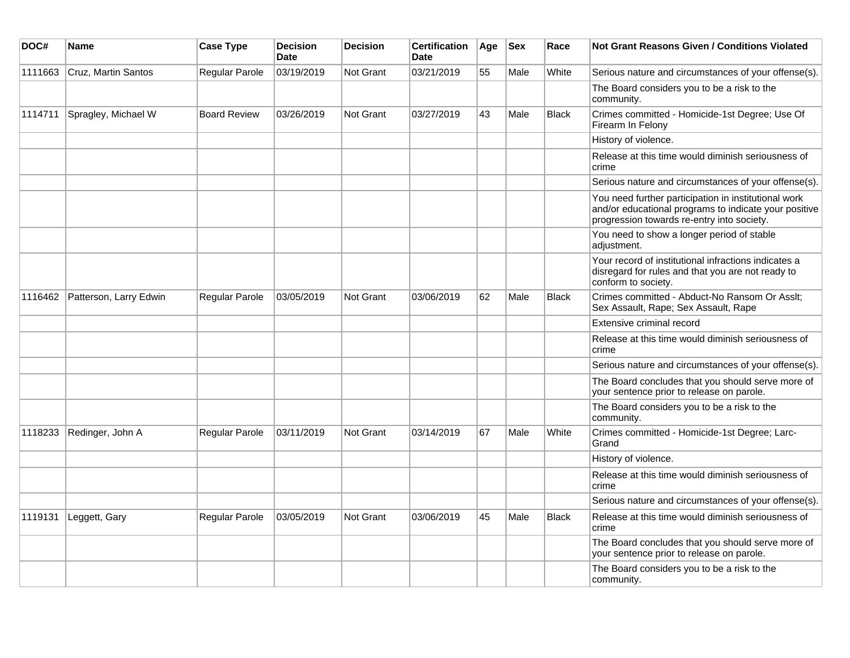| DOC#    | <b>Name</b>            | <b>Case Type</b>    | <b>Decision</b><br><b>Date</b> | <b>Decision</b>  | <b>Certification</b><br><b>Date</b> | Age | <b>Sex</b> | Race         | <b>Not Grant Reasons Given / Conditions Violated</b>                                                                                                        |
|---------|------------------------|---------------------|--------------------------------|------------------|-------------------------------------|-----|------------|--------------|-------------------------------------------------------------------------------------------------------------------------------------------------------------|
| 1111663 | Cruz, Martin Santos    | Regular Parole      | 03/19/2019                     | <b>Not Grant</b> | 03/21/2019                          | 55  | Male       | White        | Serious nature and circumstances of your offense(s).                                                                                                        |
|         |                        |                     |                                |                  |                                     |     |            |              | The Board considers you to be a risk to the<br>community.                                                                                                   |
| 1114711 | Spragley, Michael W    | <b>Board Review</b> | 03/26/2019                     | Not Grant        | 03/27/2019                          | 43  | Male       | <b>Black</b> | Crimes committed - Homicide-1st Degree; Use Of<br>Firearm In Felony                                                                                         |
|         |                        |                     |                                |                  |                                     |     |            |              | History of violence.                                                                                                                                        |
|         |                        |                     |                                |                  |                                     |     |            |              | Release at this time would diminish seriousness of<br>crime                                                                                                 |
|         |                        |                     |                                |                  |                                     |     |            |              | Serious nature and circumstances of your offense(s).                                                                                                        |
|         |                        |                     |                                |                  |                                     |     |            |              | You need further participation in institutional work<br>and/or educational programs to indicate your positive<br>progression towards re-entry into society. |
|         |                        |                     |                                |                  |                                     |     |            |              | You need to show a longer period of stable<br>adjustment.                                                                                                   |
|         |                        |                     |                                |                  |                                     |     |            |              | Your record of institutional infractions indicates a<br>disregard for rules and that you are not ready to<br>conform to society.                            |
| 1116462 | Patterson, Larry Edwin | Regular Parole      | 03/05/2019                     | Not Grant        | 03/06/2019                          | 62  | Male       | <b>Black</b> | Crimes committed - Abduct-No Ransom Or Asslt:<br>Sex Assault, Rape; Sex Assault, Rape                                                                       |
|         |                        |                     |                                |                  |                                     |     |            |              | Extensive criminal record                                                                                                                                   |
|         |                        |                     |                                |                  |                                     |     |            |              | Release at this time would diminish seriousness of<br>crime                                                                                                 |
|         |                        |                     |                                |                  |                                     |     |            |              | Serious nature and circumstances of your offense(s).                                                                                                        |
|         |                        |                     |                                |                  |                                     |     |            |              | The Board concludes that you should serve more of<br>your sentence prior to release on parole.                                                              |
|         |                        |                     |                                |                  |                                     |     |            |              | The Board considers you to be a risk to the<br>community.                                                                                                   |
| 1118233 | Redinger, John A       | Regular Parole      | 03/11/2019                     | Not Grant        | 03/14/2019                          | 67  | Male       | White        | Crimes committed - Homicide-1st Degree; Larc-<br>Grand                                                                                                      |
|         |                        |                     |                                |                  |                                     |     |            |              | History of violence.                                                                                                                                        |
|         |                        |                     |                                |                  |                                     |     |            |              | Release at this time would diminish seriousness of<br>crime                                                                                                 |
|         |                        |                     |                                |                  |                                     |     |            |              | Serious nature and circumstances of your offense(s).                                                                                                        |
| 1119131 | Leggett, Gary          | Regular Parole      | 03/05/2019                     | Not Grant        | 03/06/2019                          | 45  | Male       | <b>Black</b> | Release at this time would diminish seriousness of<br>crime                                                                                                 |
|         |                        |                     |                                |                  |                                     |     |            |              | The Board concludes that you should serve more of<br>your sentence prior to release on parole.                                                              |
|         |                        |                     |                                |                  |                                     |     |            |              | The Board considers you to be a risk to the<br>community.                                                                                                   |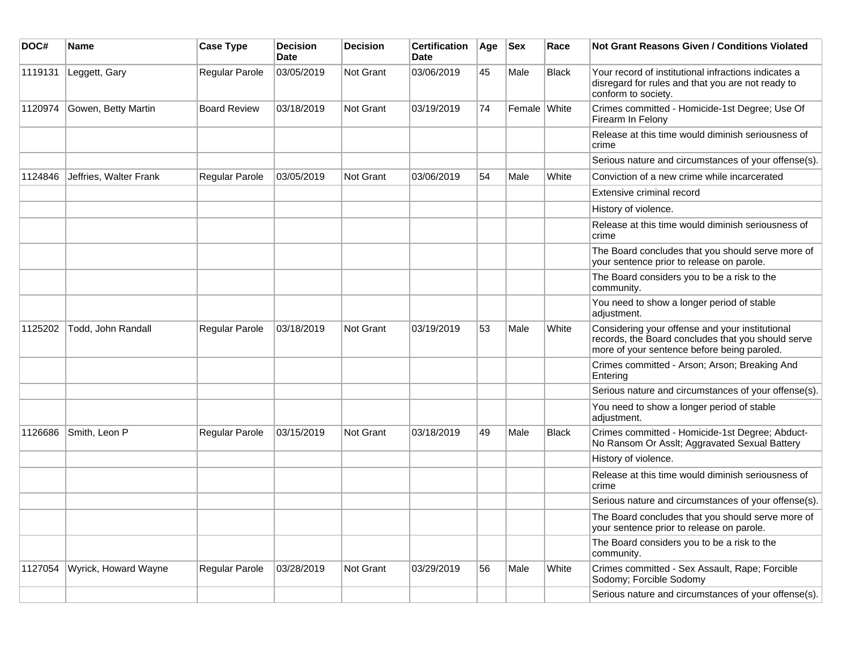| DOC#    | Name                   | <b>Case Type</b>      | <b>Decision</b><br>Date | <b>Decision</b>  | <b>Certification</b><br>Date | Age | <b>Sex</b>   | Race  | <b>Not Grant Reasons Given / Conditions Violated</b>                                                                                                 |
|---------|------------------------|-----------------------|-------------------------|------------------|------------------------------|-----|--------------|-------|------------------------------------------------------------------------------------------------------------------------------------------------------|
| 1119131 | Leggett, Gary          | Regular Parole        | 03/05/2019              | Not Grant        | 03/06/2019                   | 45  | Male         | Black | Your record of institutional infractions indicates a<br>disregard for rules and that you are not ready to<br>conform to society.                     |
| 1120974 | Gowen, Betty Martin    | <b>Board Review</b>   | 03/18/2019              | <b>Not Grant</b> | 03/19/2019                   | 74  | Female White |       | Crimes committed - Homicide-1st Degree; Use Of<br>Firearm In Felony                                                                                  |
|         |                        |                       |                         |                  |                              |     |              |       | Release at this time would diminish seriousness of<br>crime                                                                                          |
|         |                        |                       |                         |                  |                              |     |              |       | Serious nature and circumstances of your offense(s).                                                                                                 |
| 1124846 | Jeffries, Walter Frank | <b>Regular Parole</b> | 03/05/2019              | <b>Not Grant</b> | 03/06/2019                   | 54  | Male         | White | Conviction of a new crime while incarcerated                                                                                                         |
|         |                        |                       |                         |                  |                              |     |              |       | Extensive criminal record                                                                                                                            |
|         |                        |                       |                         |                  |                              |     |              |       | History of violence.                                                                                                                                 |
|         |                        |                       |                         |                  |                              |     |              |       | Release at this time would diminish seriousness of<br>crime                                                                                          |
|         |                        |                       |                         |                  |                              |     |              |       | The Board concludes that you should serve more of<br>your sentence prior to release on parole.                                                       |
|         |                        |                       |                         |                  |                              |     |              |       | The Board considers you to be a risk to the<br>community.                                                                                            |
|         |                        |                       |                         |                  |                              |     |              |       | You need to show a longer period of stable<br>adjustment.                                                                                            |
| 1125202 | Todd, John Randall     | Regular Parole        | 03/18/2019              | Not Grant        | 03/19/2019                   | 53  | Male         | White | Considering your offense and your institutional<br>records, the Board concludes that you should serve<br>more of your sentence before being paroled. |
|         |                        |                       |                         |                  |                              |     |              |       | Crimes committed - Arson; Arson; Breaking And<br>Entering                                                                                            |
|         |                        |                       |                         |                  |                              |     |              |       | Serious nature and circumstances of your offense(s).                                                                                                 |
|         |                        |                       |                         |                  |                              |     |              |       | You need to show a longer period of stable<br>adjustment.                                                                                            |
| 1126686 | Smith, Leon P          | <b>Regular Parole</b> | 03/15/2019              | Not Grant        | 03/18/2019                   | 49  | Male         | Black | Crimes committed - Homicide-1st Degree; Abduct-<br>No Ransom Or Asslt; Aggravated Sexual Battery                                                     |
|         |                        |                       |                         |                  |                              |     |              |       | History of violence.                                                                                                                                 |
|         |                        |                       |                         |                  |                              |     |              |       | Release at this time would diminish seriousness of<br>crime                                                                                          |
|         |                        |                       |                         |                  |                              |     |              |       | Serious nature and circumstances of your offense(s).                                                                                                 |
|         |                        |                       |                         |                  |                              |     |              |       | The Board concludes that you should serve more of<br>your sentence prior to release on parole.                                                       |
|         |                        |                       |                         |                  |                              |     |              |       | The Board considers you to be a risk to the<br>community.                                                                                            |
| 1127054 | Wyrick, Howard Wayne   | Regular Parole        | 03/28/2019              | Not Grant        | 03/29/2019                   | 56  | Male         | White | Crimes committed - Sex Assault, Rape; Forcible<br>Sodomy; Forcible Sodomy                                                                            |
|         |                        |                       |                         |                  |                              |     |              |       | Serious nature and circumstances of your offense(s).                                                                                                 |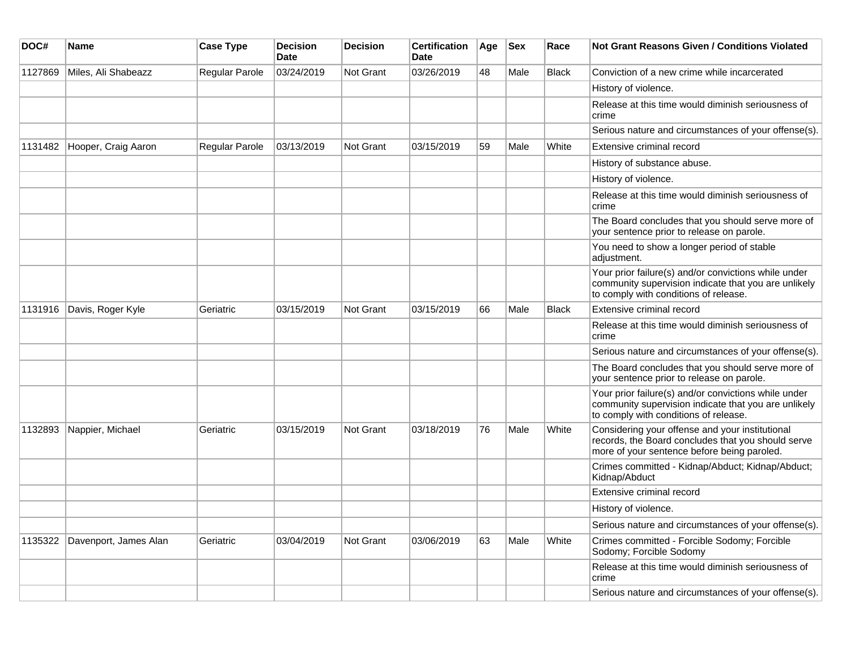| DOC#    | Name                  | <b>Case Type</b>      | <b>Decision</b><br><b>Date</b> | <b>Decision</b>  | <b>Certification</b><br><b>Date</b> | Age | <b>Sex</b> | Race         | <b>Not Grant Reasons Given / Conditions Violated</b>                                                                                                  |
|---------|-----------------------|-----------------------|--------------------------------|------------------|-------------------------------------|-----|------------|--------------|-------------------------------------------------------------------------------------------------------------------------------------------------------|
| 1127869 | Miles, Ali Shabeazz   | Regular Parole        | 03/24/2019                     | Not Grant        | 03/26/2019                          | 48  | Male       | <b>Black</b> | Conviction of a new crime while incarcerated                                                                                                          |
|         |                       |                       |                                |                  |                                     |     |            |              | History of violence.                                                                                                                                  |
|         |                       |                       |                                |                  |                                     |     |            |              | Release at this time would diminish seriousness of<br>crime                                                                                           |
|         |                       |                       |                                |                  |                                     |     |            |              | Serious nature and circumstances of your offense(s).                                                                                                  |
| 1131482 | Hooper, Craig Aaron   | <b>Regular Parole</b> | 03/13/2019                     | Not Grant        | 03/15/2019                          | 59  | Male       | White        | Extensive criminal record                                                                                                                             |
|         |                       |                       |                                |                  |                                     |     |            |              | History of substance abuse.                                                                                                                           |
|         |                       |                       |                                |                  |                                     |     |            |              | History of violence.                                                                                                                                  |
|         |                       |                       |                                |                  |                                     |     |            |              | Release at this time would diminish seriousness of<br>crime                                                                                           |
|         |                       |                       |                                |                  |                                     |     |            |              | The Board concludes that you should serve more of<br>your sentence prior to release on parole.                                                        |
|         |                       |                       |                                |                  |                                     |     |            |              | You need to show a longer period of stable<br>adjustment.                                                                                             |
|         |                       |                       |                                |                  |                                     |     |            |              | Your prior failure(s) and/or convictions while under<br>community supervision indicate that you are unlikely<br>to comply with conditions of release. |
| 1131916 | Davis, Roger Kyle     | Geriatric             | 03/15/2019                     | Not Grant        | 03/15/2019                          | 66  | Male       | <b>Black</b> | Extensive criminal record                                                                                                                             |
|         |                       |                       |                                |                  |                                     |     |            |              | Release at this time would diminish seriousness of<br>crime                                                                                           |
|         |                       |                       |                                |                  |                                     |     |            |              | Serious nature and circumstances of your offense(s).                                                                                                  |
|         |                       |                       |                                |                  |                                     |     |            |              | The Board concludes that you should serve more of<br>your sentence prior to release on parole.                                                        |
|         |                       |                       |                                |                  |                                     |     |            |              | Your prior failure(s) and/or convictions while under<br>community supervision indicate that you are unlikely<br>to comply with conditions of release. |
| 1132893 | Nappier, Michael      | Geriatric             | 03/15/2019                     | <b>Not Grant</b> | 03/18/2019                          | 76  | Male       | White        | Considering your offense and your institutional<br>records, the Board concludes that you should serve<br>more of your sentence before being paroled.  |
|         |                       |                       |                                |                  |                                     |     |            |              | Crimes committed - Kidnap/Abduct; Kidnap/Abduct;<br>Kidnap/Abduct                                                                                     |
|         |                       |                       |                                |                  |                                     |     |            |              | Extensive criminal record                                                                                                                             |
|         |                       |                       |                                |                  |                                     |     |            |              | History of violence.                                                                                                                                  |
|         |                       |                       |                                |                  |                                     |     |            |              | Serious nature and circumstances of your offense(s).                                                                                                  |
| 1135322 | Davenport, James Alan | Geriatric             | 03/04/2019                     | Not Grant        | 03/06/2019                          | 63  | Male       | White        | Crimes committed - Forcible Sodomy; Forcible<br>Sodomy; Forcible Sodomy                                                                               |
|         |                       |                       |                                |                  |                                     |     |            |              | Release at this time would diminish seriousness of<br>crime                                                                                           |
|         |                       |                       |                                |                  |                                     |     |            |              | Serious nature and circumstances of your offense(s).                                                                                                  |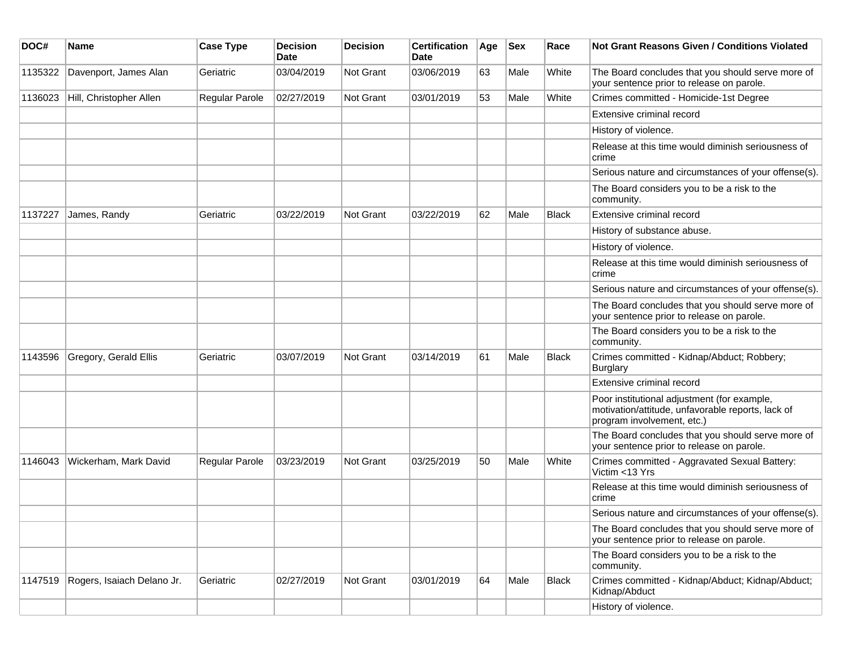| DOC#    | <b>Name</b>                | <b>Case Type</b> | <b>Decision</b><br><b>Date</b> | Decision  | <b>Certification</b><br><b>Date</b> | Age | <b>Sex</b> | Race         | <b>Not Grant Reasons Given / Conditions Violated</b>                                                                           |
|---------|----------------------------|------------------|--------------------------------|-----------|-------------------------------------|-----|------------|--------------|--------------------------------------------------------------------------------------------------------------------------------|
| 1135322 | Davenport, James Alan      | Geriatric        | 03/04/2019                     | Not Grant | 03/06/2019                          | 63  | Male       | White        | The Board concludes that you should serve more of<br>your sentence prior to release on parole.                                 |
| 1136023 | Hill, Christopher Allen    | Regular Parole   | 02/27/2019                     | Not Grant | 03/01/2019                          | 53  | Male       | White        | Crimes committed - Homicide-1st Degree                                                                                         |
|         |                            |                  |                                |           |                                     |     |            |              | Extensive criminal record                                                                                                      |
|         |                            |                  |                                |           |                                     |     |            |              | History of violence.                                                                                                           |
|         |                            |                  |                                |           |                                     |     |            |              | Release at this time would diminish seriousness of<br>crime                                                                    |
|         |                            |                  |                                |           |                                     |     |            |              | Serious nature and circumstances of your offense(s).                                                                           |
|         |                            |                  |                                |           |                                     |     |            |              | The Board considers you to be a risk to the<br>community.                                                                      |
| 1137227 | James, Randy               | Geriatric        | 03/22/2019                     | Not Grant | 03/22/2019                          | 62  | Male       | <b>Black</b> | Extensive criminal record                                                                                                      |
|         |                            |                  |                                |           |                                     |     |            |              | History of substance abuse.                                                                                                    |
|         |                            |                  |                                |           |                                     |     |            |              | History of violence.                                                                                                           |
|         |                            |                  |                                |           |                                     |     |            |              | Release at this time would diminish seriousness of<br>crime                                                                    |
|         |                            |                  |                                |           |                                     |     |            |              | Serious nature and circumstances of your offense(s).                                                                           |
|         |                            |                  |                                |           |                                     |     |            |              | The Board concludes that you should serve more of<br>your sentence prior to release on parole.                                 |
|         |                            |                  |                                |           |                                     |     |            |              | The Board considers you to be a risk to the<br>community.                                                                      |
| 1143596 | Gregory, Gerald Ellis      | Geriatric        | 03/07/2019                     | Not Grant | 03/14/2019                          | 61  | Male       | Black        | Crimes committed - Kidnap/Abduct; Robbery;<br><b>Burglary</b>                                                                  |
|         |                            |                  |                                |           |                                     |     |            |              | Extensive criminal record                                                                                                      |
|         |                            |                  |                                |           |                                     |     |            |              | Poor institutional adjustment (for example,<br>motivation/attitude, unfavorable reports, lack of<br>program involvement, etc.) |
|         |                            |                  |                                |           |                                     |     |            |              | The Board concludes that you should serve more of<br>your sentence prior to release on parole.                                 |
| 1146043 | Wickerham, Mark David      | Regular Parole   | 03/23/2019                     | Not Grant | 03/25/2019                          | 50  | Male       | White        | Crimes committed - Aggravated Sexual Battery:<br>Victim <13 Yrs                                                                |
|         |                            |                  |                                |           |                                     |     |            |              | Release at this time would diminish seriousness of<br>crime                                                                    |
|         |                            |                  |                                |           |                                     |     |            |              | Serious nature and circumstances of your offense(s).                                                                           |
|         |                            |                  |                                |           |                                     |     |            |              | The Board concludes that you should serve more of<br>your sentence prior to release on parole.                                 |
|         |                            |                  |                                |           |                                     |     |            |              | The Board considers you to be a risk to the<br>community.                                                                      |
| 1147519 | Rogers, Isaiach Delano Jr. | Geriatric        | 02/27/2019                     | Not Grant | 03/01/2019                          | 64  | Male       | Black        | Crimes committed - Kidnap/Abduct; Kidnap/Abduct;<br>Kidnap/Abduct                                                              |
|         |                            |                  |                                |           |                                     |     |            |              | History of violence.                                                                                                           |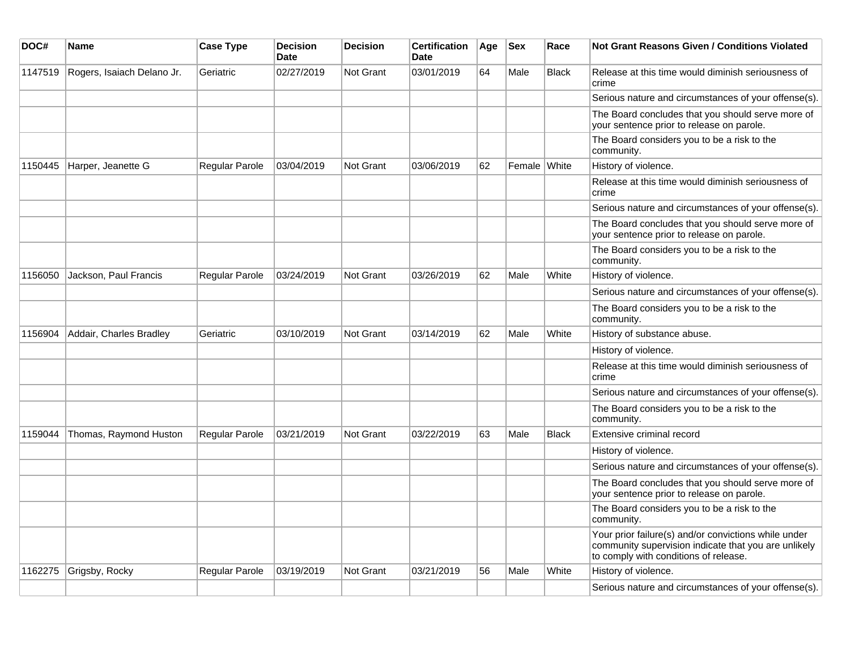| DOC#    | <b>Name</b>                | <b>Case Type</b>      | <b>Decision</b><br><b>Date</b> | <b>Decision</b>  | <b>Certification</b><br><b>Date</b> | Age | $ $ Sex      | Race         | Not Grant Reasons Given / Conditions Violated                                                                                                         |
|---------|----------------------------|-----------------------|--------------------------------|------------------|-------------------------------------|-----|--------------|--------------|-------------------------------------------------------------------------------------------------------------------------------------------------------|
| 1147519 | Rogers, Isaiach Delano Jr. | Geriatric             | 02/27/2019                     | Not Grant        | 03/01/2019                          | 64  | Male         | <b>Black</b> | Release at this time would diminish seriousness of<br>crime                                                                                           |
|         |                            |                       |                                |                  |                                     |     |              |              | Serious nature and circumstances of your offense(s).                                                                                                  |
|         |                            |                       |                                |                  |                                     |     |              |              | The Board concludes that you should serve more of<br>your sentence prior to release on parole.                                                        |
|         |                            |                       |                                |                  |                                     |     |              |              | The Board considers you to be a risk to the<br>community.                                                                                             |
| 1150445 | Harper, Jeanette G         | Regular Parole        | 03/04/2019                     | <b>Not Grant</b> | 03/06/2019                          | 62  | Female White |              | History of violence.                                                                                                                                  |
|         |                            |                       |                                |                  |                                     |     |              |              | Release at this time would diminish seriousness of<br>crime                                                                                           |
|         |                            |                       |                                |                  |                                     |     |              |              | Serious nature and circumstances of your offense(s).                                                                                                  |
|         |                            |                       |                                |                  |                                     |     |              |              | The Board concludes that you should serve more of<br>your sentence prior to release on parole.                                                        |
|         |                            |                       |                                |                  |                                     |     |              |              | The Board considers you to be a risk to the<br>community.                                                                                             |
| 1156050 | Jackson, Paul Francis      | <b>Regular Parole</b> | 03/24/2019                     | <b>Not Grant</b> | 03/26/2019                          | 62  | Male         | White        | History of violence.                                                                                                                                  |
|         |                            |                       |                                |                  |                                     |     |              |              | Serious nature and circumstances of your offense(s).                                                                                                  |
|         |                            |                       |                                |                  |                                     |     |              |              | The Board considers you to be a risk to the<br>community.                                                                                             |
| 1156904 | Addair, Charles Bradley    | Geriatric             | 03/10/2019                     | Not Grant        | 03/14/2019                          | 62  | Male         | White        | History of substance abuse.                                                                                                                           |
|         |                            |                       |                                |                  |                                     |     |              |              | History of violence.                                                                                                                                  |
|         |                            |                       |                                |                  |                                     |     |              |              | Release at this time would diminish seriousness of<br>crime                                                                                           |
|         |                            |                       |                                |                  |                                     |     |              |              | Serious nature and circumstances of your offense(s).                                                                                                  |
|         |                            |                       |                                |                  |                                     |     |              |              | The Board considers you to be a risk to the<br>community.                                                                                             |
| 1159044 | Thomas, Raymond Huston     | Regular Parole        | 03/21/2019                     | Not Grant        | 03/22/2019                          | 63  | Male         | <b>Black</b> | Extensive criminal record                                                                                                                             |
|         |                            |                       |                                |                  |                                     |     |              |              | History of violence.                                                                                                                                  |
|         |                            |                       |                                |                  |                                     |     |              |              | Serious nature and circumstances of your offense(s).                                                                                                  |
|         |                            |                       |                                |                  |                                     |     |              |              | The Board concludes that you should serve more of<br>your sentence prior to release on parole.                                                        |
|         |                            |                       |                                |                  |                                     |     |              |              | The Board considers you to be a risk to the<br>community.                                                                                             |
|         |                            |                       |                                |                  |                                     |     |              |              | Your prior failure(s) and/or convictions while under<br>community supervision indicate that you are unlikely<br>to comply with conditions of release. |
| 1162275 | Grigsby, Rocky             | <b>Regular Parole</b> | 03/19/2019                     | <b>Not Grant</b> | 03/21/2019                          | 56  | Male         | White        | History of violence.                                                                                                                                  |
|         |                            |                       |                                |                  |                                     |     |              |              | Serious nature and circumstances of your offense(s).                                                                                                  |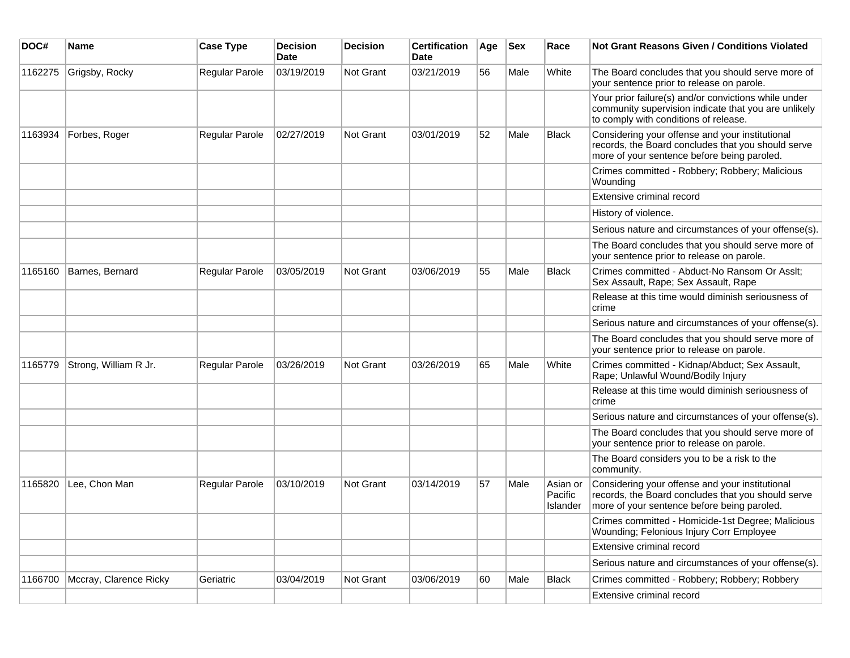| DOC#    | <b>Name</b>            | <b>Case Type</b> | <b>Decision</b><br><b>Date</b> | <b>Decision</b> | <b>Certification</b><br>Date | Age | <b>Sex</b> | Race                            | Not Grant Reasons Given / Conditions Violated                                                                                                         |
|---------|------------------------|------------------|--------------------------------|-----------------|------------------------------|-----|------------|---------------------------------|-------------------------------------------------------------------------------------------------------------------------------------------------------|
| 1162275 | Grigsby, Rocky         | Regular Parole   | 03/19/2019                     | Not Grant       | 03/21/2019                   | 56  | Male       | White                           | The Board concludes that you should serve more of<br>your sentence prior to release on parole.                                                        |
|         |                        |                  |                                |                 |                              |     |            |                                 | Your prior failure(s) and/or convictions while under<br>community supervision indicate that you are unlikely<br>to comply with conditions of release. |
| 1163934 | Forbes, Roger          | Regular Parole   | 02/27/2019                     | Not Grant       | 03/01/2019                   | 52  | Male       | <b>Black</b>                    | Considering your offense and your institutional<br>records, the Board concludes that you should serve<br>more of your sentence before being paroled.  |
|         |                        |                  |                                |                 |                              |     |            |                                 | Crimes committed - Robbery; Robbery; Malicious<br>Wounding                                                                                            |
|         |                        |                  |                                |                 |                              |     |            |                                 | Extensive criminal record                                                                                                                             |
|         |                        |                  |                                |                 |                              |     |            |                                 | History of violence.                                                                                                                                  |
|         |                        |                  |                                |                 |                              |     |            |                                 | Serious nature and circumstances of your offense(s).                                                                                                  |
|         |                        |                  |                                |                 |                              |     |            |                                 | The Board concludes that you should serve more of<br>your sentence prior to release on parole.                                                        |
| 1165160 | Barnes, Bernard        | Regular Parole   | 03/05/2019                     | Not Grant       | 03/06/2019                   | 55  | Male       | <b>Black</b>                    | Crimes committed - Abduct-No Ransom Or Asslt;<br>Sex Assault, Rape; Sex Assault, Rape                                                                 |
|         |                        |                  |                                |                 |                              |     |            |                                 | Release at this time would diminish seriousness of<br>crime                                                                                           |
|         |                        |                  |                                |                 |                              |     |            |                                 | Serious nature and circumstances of your offense(s).                                                                                                  |
|         |                        |                  |                                |                 |                              |     |            |                                 | The Board concludes that you should serve more of<br>your sentence prior to release on parole.                                                        |
| 1165779 | Strong, William R Jr.  | Regular Parole   | 03/26/2019                     | Not Grant       | 03/26/2019                   | 65  | Male       | White                           | Crimes committed - Kidnap/Abduct; Sex Assault,<br>Rape; Unlawful Wound/Bodily Injury                                                                  |
|         |                        |                  |                                |                 |                              |     |            |                                 | Release at this time would diminish seriousness of<br>crime                                                                                           |
|         |                        |                  |                                |                 |                              |     |            |                                 | Serious nature and circumstances of your offense(s).                                                                                                  |
|         |                        |                  |                                |                 |                              |     |            |                                 | The Board concludes that you should serve more of<br>your sentence prior to release on parole.                                                        |
|         |                        |                  |                                |                 |                              |     |            |                                 | The Board considers you to be a risk to the<br>community.                                                                                             |
| 1165820 | Lee, Chon Man          | Regular Parole   | 03/10/2019                     | Not Grant       | 03/14/2019                   | 57  | Male       | Asian or<br>Pacific<br>Islander | Considering your offense and your institutional<br>records, the Board concludes that you should serve<br>more of your sentence before being paroled.  |
|         |                        |                  |                                |                 |                              |     |            |                                 | Crimes committed - Homicide-1st Degree; Malicious<br><b>Wounding: Felonious Injury Corr Employee</b>                                                  |
|         |                        |                  |                                |                 |                              |     |            |                                 | Extensive criminal record                                                                                                                             |
|         |                        |                  |                                |                 |                              |     |            |                                 | Serious nature and circumstances of your offense(s).                                                                                                  |
| 1166700 | Mccray, Clarence Ricky | Geriatric        | 03/04/2019                     | Not Grant       | 03/06/2019                   | 60  | Male       | Black                           | Crimes committed - Robbery; Robbery; Robbery                                                                                                          |
|         |                        |                  |                                |                 |                              |     |            |                                 | Extensive criminal record                                                                                                                             |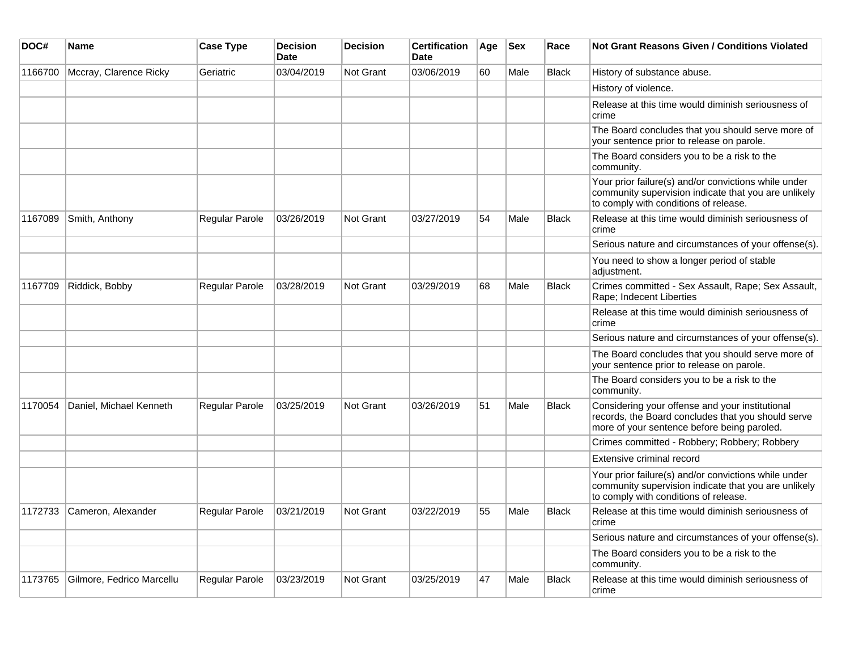| DOC#    | <b>Name</b>               | <b>Case Type</b> | <b>Decision</b><br><b>Date</b> | <b>Decision</b>  | <b>Certification</b><br><b>Date</b> | Age | <b>Sex</b> | Race         | <b>Not Grant Reasons Given / Conditions Violated</b>                                                                                                  |
|---------|---------------------------|------------------|--------------------------------|------------------|-------------------------------------|-----|------------|--------------|-------------------------------------------------------------------------------------------------------------------------------------------------------|
| 1166700 | Mccray, Clarence Ricky    | Geriatric        | 03/04/2019                     | <b>Not Grant</b> | 03/06/2019                          | 60  | Male       | <b>Black</b> | History of substance abuse.                                                                                                                           |
|         |                           |                  |                                |                  |                                     |     |            |              | History of violence.                                                                                                                                  |
|         |                           |                  |                                |                  |                                     |     |            |              | Release at this time would diminish seriousness of<br>crime                                                                                           |
|         |                           |                  |                                |                  |                                     |     |            |              | The Board concludes that you should serve more of<br>your sentence prior to release on parole.                                                        |
|         |                           |                  |                                |                  |                                     |     |            |              | The Board considers you to be a risk to the<br>community.                                                                                             |
|         |                           |                  |                                |                  |                                     |     |            |              | Your prior failure(s) and/or convictions while under<br>community supervision indicate that you are unlikely<br>to comply with conditions of release. |
| 1167089 | Smith, Anthony            | Regular Parole   | 03/26/2019                     | <b>Not Grant</b> | 03/27/2019                          | 54  | Male       | <b>Black</b> | Release at this time would diminish seriousness of<br>crime                                                                                           |
|         |                           |                  |                                |                  |                                     |     |            |              | Serious nature and circumstances of your offense(s).                                                                                                  |
|         |                           |                  |                                |                  |                                     |     |            |              | You need to show a longer period of stable<br>adjustment.                                                                                             |
| 1167709 | Riddick, Bobby            | Regular Parole   | 03/28/2019                     | <b>Not Grant</b> | 03/29/2019                          | 68  | Male       | <b>Black</b> | Crimes committed - Sex Assault, Rape; Sex Assault,<br>Rape; Indecent Liberties                                                                        |
|         |                           |                  |                                |                  |                                     |     |            |              | Release at this time would diminish seriousness of<br>crime                                                                                           |
|         |                           |                  |                                |                  |                                     |     |            |              | Serious nature and circumstances of your offense(s).                                                                                                  |
|         |                           |                  |                                |                  |                                     |     |            |              | The Board concludes that you should serve more of<br>your sentence prior to release on parole.                                                        |
|         |                           |                  |                                |                  |                                     |     |            |              | The Board considers you to be a risk to the<br>community.                                                                                             |
| 1170054 | Daniel, Michael Kenneth   | Regular Parole   | 03/25/2019                     | <b>Not Grant</b> | 03/26/2019                          | 51  | Male       | <b>Black</b> | Considering your offense and your institutional<br>records, the Board concludes that you should serve<br>more of your sentence before being paroled.  |
|         |                           |                  |                                |                  |                                     |     |            |              | Crimes committed - Robbery; Robbery; Robbery                                                                                                          |
|         |                           |                  |                                |                  |                                     |     |            |              | Extensive criminal record                                                                                                                             |
|         |                           |                  |                                |                  |                                     |     |            |              | Your prior failure(s) and/or convictions while under<br>community supervision indicate that you are unlikely<br>to comply with conditions of release. |
| 1172733 | Cameron, Alexander        | Regular Parole   | 03/21/2019                     | <b>Not Grant</b> | 03/22/2019                          | 55  | Male       | <b>Black</b> | Release at this time would diminish seriousness of<br>crime                                                                                           |
|         |                           |                  |                                |                  |                                     |     |            |              | Serious nature and circumstances of your offense(s).                                                                                                  |
|         |                           |                  |                                |                  |                                     |     |            |              | The Board considers you to be a risk to the<br>community.                                                                                             |
| 1173765 | Gilmore, Fedrico Marcellu | Regular Parole   | 03/23/2019                     | <b>Not Grant</b> | 03/25/2019                          | 47  | Male       | <b>Black</b> | Release at this time would diminish seriousness of<br>crime                                                                                           |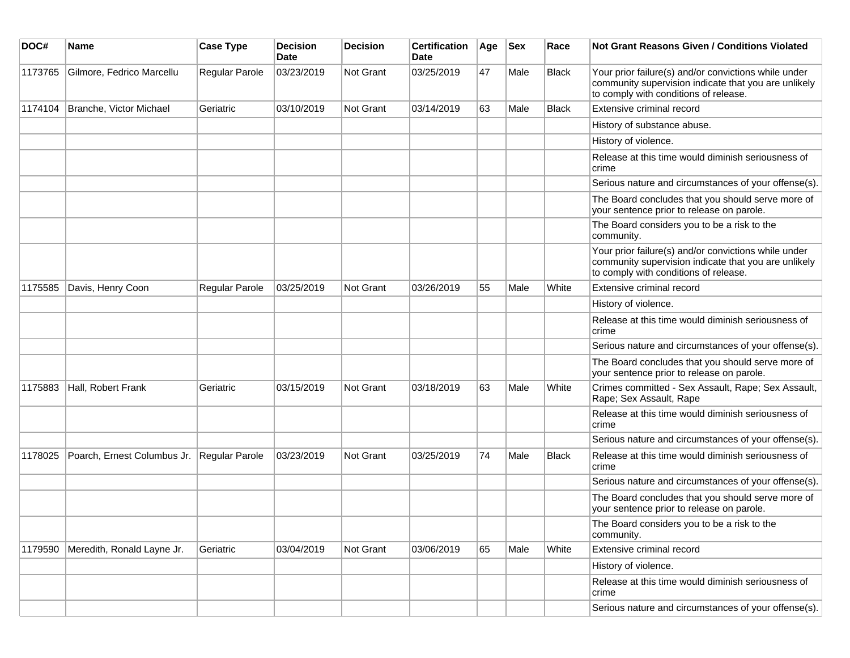| DOC#    | <b>Name</b>                 | <b>Case Type</b> | <b>Decision</b><br><b>Date</b> | <b>Decision</b>  | <b>Certification</b><br>Date | Age | <b>Sex</b> | Race         | Not Grant Reasons Given / Conditions Violated                                                                                                         |
|---------|-----------------------------|------------------|--------------------------------|------------------|------------------------------|-----|------------|--------------|-------------------------------------------------------------------------------------------------------------------------------------------------------|
| 1173765 | Gilmore, Fedrico Marcellu   | Regular Parole   | 03/23/2019                     | Not Grant        | 03/25/2019                   | 47  | Male       | <b>Black</b> | Your prior failure(s) and/or convictions while under<br>community supervision indicate that you are unlikely<br>to comply with conditions of release. |
| 1174104 | Branche, Victor Michael     | Geriatric        | 03/10/2019                     | Not Grant        | 03/14/2019                   | 63  | Male       | Black        | Extensive criminal record                                                                                                                             |
|         |                             |                  |                                |                  |                              |     |            |              | History of substance abuse.                                                                                                                           |
|         |                             |                  |                                |                  |                              |     |            |              | History of violence.                                                                                                                                  |
|         |                             |                  |                                |                  |                              |     |            |              | Release at this time would diminish seriousness of<br>crime                                                                                           |
|         |                             |                  |                                |                  |                              |     |            |              | Serious nature and circumstances of your offense(s).                                                                                                  |
|         |                             |                  |                                |                  |                              |     |            |              | The Board concludes that you should serve more of<br>your sentence prior to release on parole.                                                        |
|         |                             |                  |                                |                  |                              |     |            |              | The Board considers you to be a risk to the<br>community.                                                                                             |
|         |                             |                  |                                |                  |                              |     |            |              | Your prior failure(s) and/or convictions while under<br>community supervision indicate that you are unlikely<br>to comply with conditions of release. |
| 1175585 | Davis, Henry Coon           | Regular Parole   | 03/25/2019                     | <b>Not Grant</b> | 03/26/2019                   | 55  | Male       | White        | Extensive criminal record                                                                                                                             |
|         |                             |                  |                                |                  |                              |     |            |              | History of violence.                                                                                                                                  |
|         |                             |                  |                                |                  |                              |     |            |              | Release at this time would diminish seriousness of<br>crime                                                                                           |
|         |                             |                  |                                |                  |                              |     |            |              | Serious nature and circumstances of your offense(s).                                                                                                  |
|         |                             |                  |                                |                  |                              |     |            |              | The Board concludes that you should serve more of<br>your sentence prior to release on parole.                                                        |
| 1175883 | Hall, Robert Frank          | Geriatric        | 03/15/2019                     | Not Grant        | 03/18/2019                   | 63  | Male       | White        | Crimes committed - Sex Assault, Rape; Sex Assault,<br>Rape; Sex Assault, Rape                                                                         |
|         |                             |                  |                                |                  |                              |     |            |              | Release at this time would diminish seriousness of<br>crime                                                                                           |
|         |                             |                  |                                |                  |                              |     |            |              | Serious nature and circumstances of your offense(s).                                                                                                  |
| 1178025 | Poarch, Ernest Columbus Jr. | Regular Parole   | 03/23/2019                     | Not Grant        | 03/25/2019                   | 74  | Male       | <b>Black</b> | Release at this time would diminish seriousness of<br>crime                                                                                           |
|         |                             |                  |                                |                  |                              |     |            |              | Serious nature and circumstances of your offense(s).                                                                                                  |
|         |                             |                  |                                |                  |                              |     |            |              | The Board concludes that you should serve more of<br>your sentence prior to release on parole.                                                        |
|         |                             |                  |                                |                  |                              |     |            |              | The Board considers you to be a risk to the<br>community.                                                                                             |
| 1179590 | Meredith, Ronald Layne Jr.  | Geriatric        | 03/04/2019                     | Not Grant        | 03/06/2019                   | 65  | Male       | White        | Extensive criminal record                                                                                                                             |
|         |                             |                  |                                |                  |                              |     |            |              | History of violence.                                                                                                                                  |
|         |                             |                  |                                |                  |                              |     |            |              | Release at this time would diminish seriousness of<br>crime                                                                                           |
|         |                             |                  |                                |                  |                              |     |            |              | Serious nature and circumstances of your offense(s).                                                                                                  |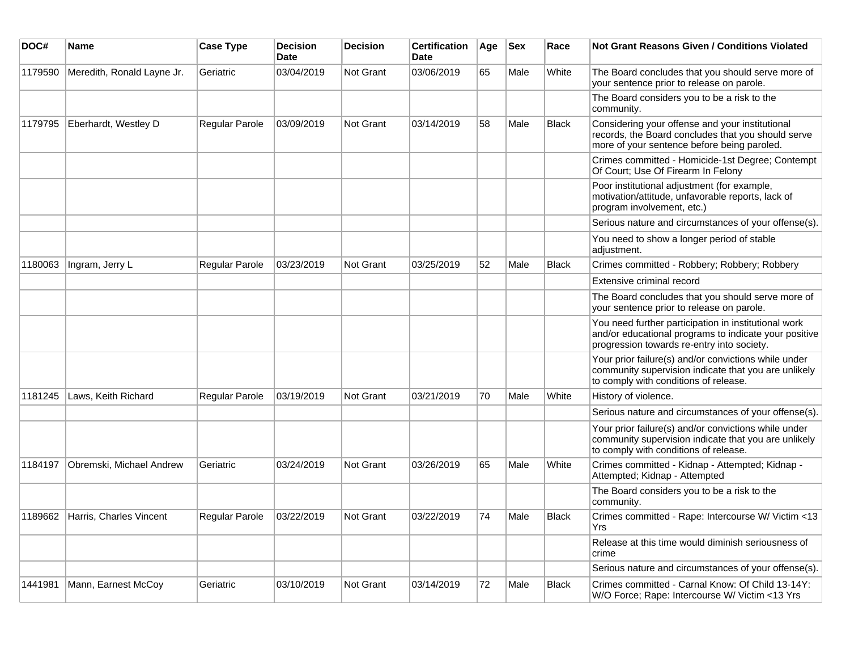| DOC#    | <b>Name</b>                     | <b>Case Type</b> | <b>Decision</b><br><b>Date</b> | Decision  | <b>Certification</b><br>Date | Age | <b>Sex</b> | Race         | Not Grant Reasons Given / Conditions Violated                                                                                                               |
|---------|---------------------------------|------------------|--------------------------------|-----------|------------------------------|-----|------------|--------------|-------------------------------------------------------------------------------------------------------------------------------------------------------------|
| 1179590 | Meredith, Ronald Layne Jr.      | Geriatric        | 03/04/2019                     | Not Grant | 03/06/2019                   | 65  | Male       | White        | The Board concludes that you should serve more of<br>your sentence prior to release on parole.                                                              |
|         |                                 |                  |                                |           |                              |     |            |              | The Board considers you to be a risk to the<br>community.                                                                                                   |
| 1179795 | Eberhardt, Westley D            | Regular Parole   | 03/09/2019                     | Not Grant | 03/14/2019                   | 58  | Male       | <b>Black</b> | Considering your offense and your institutional<br>records, the Board concludes that you should serve<br>more of your sentence before being paroled.        |
|         |                                 |                  |                                |           |                              |     |            |              | Crimes committed - Homicide-1st Degree; Contempt<br>Of Court; Use Of Firearm In Felony                                                                      |
|         |                                 |                  |                                |           |                              |     |            |              | Poor institutional adjustment (for example,<br>motivation/attitude, unfavorable reports, lack of<br>program involvement, etc.)                              |
|         |                                 |                  |                                |           |                              |     |            |              | Serious nature and circumstances of your offense(s).                                                                                                        |
|         |                                 |                  |                                |           |                              |     |            |              | You need to show a longer period of stable<br>adjustment.                                                                                                   |
| 1180063 | Ingram, Jerry L                 | Regular Parole   | 03/23/2019                     | Not Grant | 03/25/2019                   | 52  | Male       | <b>Black</b> | Crimes committed - Robbery; Robbery; Robbery                                                                                                                |
|         |                                 |                  |                                |           |                              |     |            |              | Extensive criminal record                                                                                                                                   |
|         |                                 |                  |                                |           |                              |     |            |              | The Board concludes that you should serve more of<br>your sentence prior to release on parole.                                                              |
|         |                                 |                  |                                |           |                              |     |            |              | You need further participation in institutional work<br>and/or educational programs to indicate your positive<br>progression towards re-entry into society. |
|         |                                 |                  |                                |           |                              |     |            |              | Your prior failure(s) and/or convictions while under<br>community supervision indicate that you are unlikely<br>to comply with conditions of release.       |
| 1181245 | Laws, Keith Richard             | Regular Parole   | 03/19/2019                     | Not Grant | 03/21/2019                   | 70  | Male       | White        | History of violence.                                                                                                                                        |
|         |                                 |                  |                                |           |                              |     |            |              | Serious nature and circumstances of your offense(s).                                                                                                        |
|         |                                 |                  |                                |           |                              |     |            |              | Your prior failure(s) and/or convictions while under<br>community supervision indicate that you are unlikely<br>to comply with conditions of release.       |
| 1184197 | Obremski, Michael Andrew        | Geriatric        | 03/24/2019                     | Not Grant | 03/26/2019                   | 65  | Male       | White        | Crimes committed - Kidnap - Attempted; Kidnap -<br>Attempted; Kidnap - Attempted                                                                            |
|         |                                 |                  |                                |           |                              |     |            |              | The Board considers you to be a risk to the<br>community.                                                                                                   |
|         | 1189662 Harris, Charles Vincent | Regular Parole   | 03/22/2019                     | Not Grant | 03/22/2019                   | 74  | Male       | <b>Black</b> | Crimes committed - Rape: Intercourse W/ Victim <13<br>Yrs                                                                                                   |
|         |                                 |                  |                                |           |                              |     |            |              | Release at this time would diminish seriousness of<br>crime                                                                                                 |
|         |                                 |                  |                                |           |                              |     |            |              | Serious nature and circumstances of your offense(s).                                                                                                        |
| 1441981 | Mann, Earnest McCoy             | Geriatric        | 03/10/2019                     | Not Grant | 03/14/2019                   | 72  | Male       | Black        | Crimes committed - Carnal Know: Of Child 13-14Y:<br>W/O Force; Rape: Intercourse W/ Victim <13 Yrs                                                          |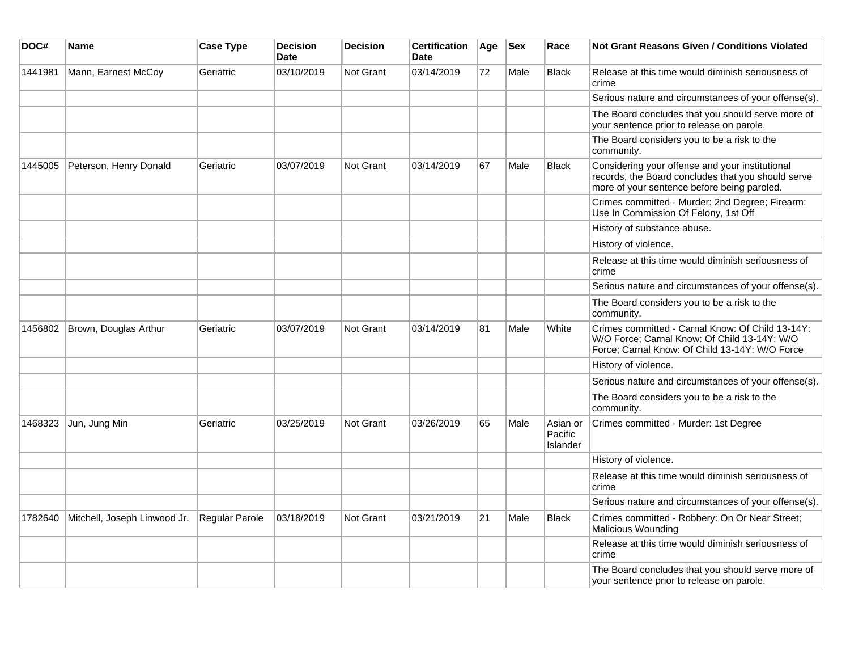| DOC#    | <b>Name</b>                  | <b>Case Type</b> | <b>Decision</b><br><b>Date</b> | <b>Decision</b>  | <b>Certification</b><br><b>Date</b> | Age | <b>Sex</b> | Race                            | <b>Not Grant Reasons Given / Conditions Violated</b>                                                                                                 |
|---------|------------------------------|------------------|--------------------------------|------------------|-------------------------------------|-----|------------|---------------------------------|------------------------------------------------------------------------------------------------------------------------------------------------------|
| 1441981 | Mann, Earnest McCoy          | Geriatric        | 03/10/2019                     | <b>Not Grant</b> | 03/14/2019                          | 72  | Male       | Black                           | Release at this time would diminish seriousness of<br>crime                                                                                          |
|         |                              |                  |                                |                  |                                     |     |            |                                 | Serious nature and circumstances of your offense(s).                                                                                                 |
|         |                              |                  |                                |                  |                                     |     |            |                                 | The Board concludes that you should serve more of<br>your sentence prior to release on parole.                                                       |
|         |                              |                  |                                |                  |                                     |     |            |                                 | The Board considers you to be a risk to the<br>community.                                                                                            |
| 1445005 | Peterson, Henry Donald       | Geriatric        | 03/07/2019                     | Not Grant        | 03/14/2019                          | 67  | Male       | <b>Black</b>                    | Considering your offense and your institutional<br>records, the Board concludes that you should serve<br>more of your sentence before being paroled. |
|         |                              |                  |                                |                  |                                     |     |            |                                 | Crimes committed - Murder: 2nd Degree; Firearm:<br>Use In Commission Of Felony, 1st Off                                                              |
|         |                              |                  |                                |                  |                                     |     |            |                                 | History of substance abuse.                                                                                                                          |
|         |                              |                  |                                |                  |                                     |     |            |                                 | History of violence.                                                                                                                                 |
|         |                              |                  |                                |                  |                                     |     |            |                                 | Release at this time would diminish seriousness of<br>crime                                                                                          |
|         |                              |                  |                                |                  |                                     |     |            |                                 | Serious nature and circumstances of your offense(s).                                                                                                 |
|         |                              |                  |                                |                  |                                     |     |            |                                 | The Board considers you to be a risk to the<br>community.                                                                                            |
| 1456802 | Brown, Douglas Arthur        | Geriatric        | 03/07/2019                     | <b>Not Grant</b> | 03/14/2019                          | 81  | Male       | White                           | Crimes committed - Carnal Know: Of Child 13-14Y:<br>W/O Force; Carnal Know: Of Child 13-14Y: W/O<br>Force; Carnal Know: Of Child 13-14Y: W/O Force   |
|         |                              |                  |                                |                  |                                     |     |            |                                 | History of violence.                                                                                                                                 |
|         |                              |                  |                                |                  |                                     |     |            |                                 | Serious nature and circumstances of your offense(s).                                                                                                 |
|         |                              |                  |                                |                  |                                     |     |            |                                 | The Board considers you to be a risk to the<br>community.                                                                                            |
| 1468323 | Jun, Jung Min                | Geriatric        | 03/25/2019                     | <b>Not Grant</b> | 03/26/2019                          | 65  | Male       | Asian or<br>Pacific<br>Islander | Crimes committed - Murder: 1st Degree                                                                                                                |
|         |                              |                  |                                |                  |                                     |     |            |                                 | History of violence.                                                                                                                                 |
|         |                              |                  |                                |                  |                                     |     |            |                                 | Release at this time would diminish seriousness of<br>crime                                                                                          |
|         |                              |                  |                                |                  |                                     |     |            |                                 | Serious nature and circumstances of your offense(s).                                                                                                 |
| 1782640 | Mitchell, Joseph Linwood Jr. | Regular Parole   | 03/18/2019                     | Not Grant        | 03/21/2019                          | 21  | Male       | <b>Black</b>                    | Crimes committed - Robbery: On Or Near Street;<br>Malicious Wounding                                                                                 |
|         |                              |                  |                                |                  |                                     |     |            |                                 | Release at this time would diminish seriousness of<br>crime                                                                                          |
|         |                              |                  |                                |                  |                                     |     |            |                                 | The Board concludes that you should serve more of<br>your sentence prior to release on parole.                                                       |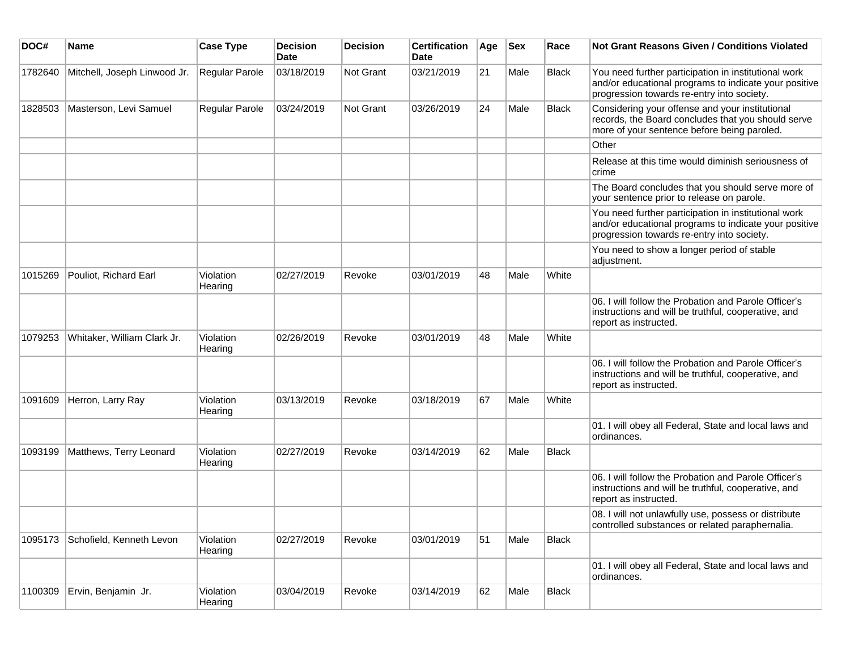| DOC#    | Name                         | <b>Case Type</b>     | <b>Decision</b><br><b>Date</b> | <b>Decision</b> | <b>Certification</b><br>Date | Age | <b>Sex</b> | Race         | Not Grant Reasons Given / Conditions Violated                                                                                                               |
|---------|------------------------------|----------------------|--------------------------------|-----------------|------------------------------|-----|------------|--------------|-------------------------------------------------------------------------------------------------------------------------------------------------------------|
| 1782640 | Mitchell, Joseph Linwood Jr. | Regular Parole       | 03/18/2019                     | Not Grant       | 03/21/2019                   | 21  | Male       | <b>Black</b> | You need further participation in institutional work<br>and/or educational programs to indicate your positive<br>progression towards re-entry into society. |
| 1828503 | Masterson, Levi Samuel       | Regular Parole       | 03/24/2019                     | Not Grant       | 03/26/2019                   | 24  | Male       | <b>Black</b> | Considering your offense and your institutional<br>records, the Board concludes that you should serve<br>more of your sentence before being paroled.        |
|         |                              |                      |                                |                 |                              |     |            |              | Other                                                                                                                                                       |
|         |                              |                      |                                |                 |                              |     |            |              | Release at this time would diminish seriousness of<br>crime                                                                                                 |
|         |                              |                      |                                |                 |                              |     |            |              | The Board concludes that you should serve more of<br>your sentence prior to release on parole.                                                              |
|         |                              |                      |                                |                 |                              |     |            |              | You need further participation in institutional work<br>and/or educational programs to indicate your positive<br>progression towards re-entry into society. |
|         |                              |                      |                                |                 |                              |     |            |              | You need to show a longer period of stable<br>adjustment.                                                                                                   |
| 1015269 | Pouliot, Richard Earl        | Violation<br>Hearing | 02/27/2019                     | Revoke          | 03/01/2019                   | 48  | Male       | White        |                                                                                                                                                             |
|         |                              |                      |                                |                 |                              |     |            |              | 06. I will follow the Probation and Parole Officer's<br>instructions and will be truthful, cooperative, and<br>report as instructed.                        |
| 1079253 | Whitaker, William Clark Jr.  | Violation<br>Hearing | 02/26/2019                     | Revoke          | 03/01/2019                   | 48  | Male       | White        |                                                                                                                                                             |
|         |                              |                      |                                |                 |                              |     |            |              | 06. I will follow the Probation and Parole Officer's<br>instructions and will be truthful, cooperative, and<br>report as instructed.                        |
| 1091609 | Herron, Larry Ray            | Violation<br>Hearing | 03/13/2019                     | Revoke          | 03/18/2019                   | 67  | Male       | White        |                                                                                                                                                             |
|         |                              |                      |                                |                 |                              |     |            |              | 01. I will obey all Federal, State and local laws and<br>ordinances.                                                                                        |
| 1093199 | Matthews, Terry Leonard      | Violation<br>Hearing | 02/27/2019                     | Revoke          | 03/14/2019                   | 62  | Male       | <b>Black</b> |                                                                                                                                                             |
|         |                              |                      |                                |                 |                              |     |            |              | 06. I will follow the Probation and Parole Officer's<br>instructions and will be truthful, cooperative, and<br>report as instructed.                        |
|         |                              |                      |                                |                 |                              |     |            |              | 08. I will not unlawfully use, possess or distribute<br>controlled substances or related paraphernalia.                                                     |
| 1095173 | Schofield, Kenneth Levon     | Violation<br>Hearing | 02/27/2019                     | Revoke          | 03/01/2019                   | 51  | Male       | <b>Black</b> |                                                                                                                                                             |
|         |                              |                      |                                |                 |                              |     |            |              | 01. I will obey all Federal, State and local laws and<br>ordinances.                                                                                        |
| 1100309 | Ervin, Benjamin Jr.          | Violation<br>Hearing | 03/04/2019                     | Revoke          | 03/14/2019                   | 62  | Male       | Black        |                                                                                                                                                             |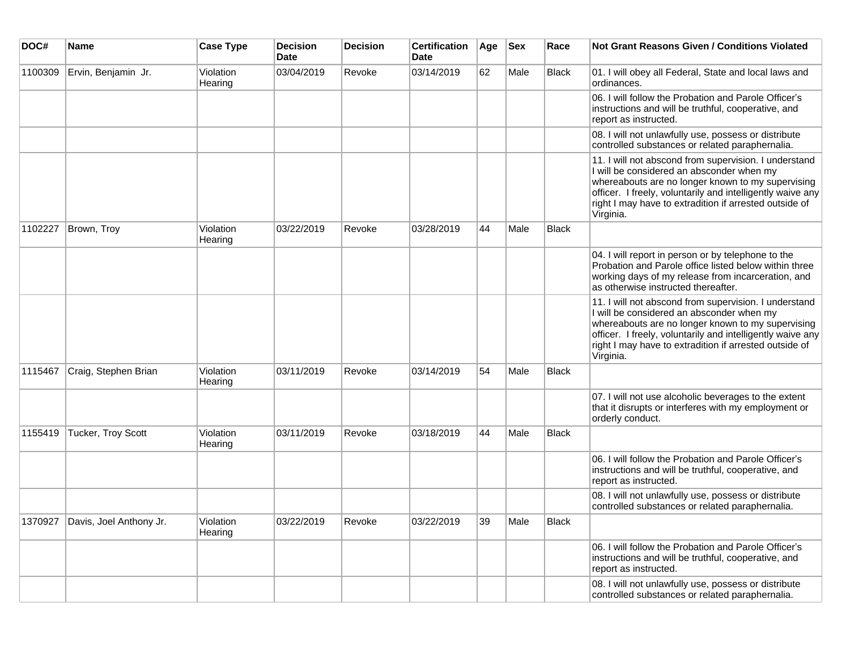| DOC#    | <b>Name</b>             | <b>Case Type</b>     | <b>Decision</b><br><b>Date</b> | <b>Decision</b> | <b>Certification</b><br><b>Date</b> | Age | <b>Sex</b> | Race         | <b>Not Grant Reasons Given / Conditions Violated</b>                                                                                                                                                                                                                                         |
|---------|-------------------------|----------------------|--------------------------------|-----------------|-------------------------------------|-----|------------|--------------|----------------------------------------------------------------------------------------------------------------------------------------------------------------------------------------------------------------------------------------------------------------------------------------------|
| 1100309 | Ervin, Benjamin Jr.     | Violation<br>Hearing | 03/04/2019                     | Revoke          | 03/14/2019                          | 62  | Male       | <b>Black</b> | 01. I will obey all Federal, State and local laws and<br>ordinances.                                                                                                                                                                                                                         |
|         |                         |                      |                                |                 |                                     |     |            |              | 06. I will follow the Probation and Parole Officer's<br>instructions and will be truthful, cooperative, and<br>report as instructed.                                                                                                                                                         |
|         |                         |                      |                                |                 |                                     |     |            |              | 08. I will not unlawfully use, possess or distribute<br>controlled substances or related paraphernalia.                                                                                                                                                                                      |
|         |                         |                      |                                |                 |                                     |     |            |              | 11. I will not abscond from supervision. I understand<br>I will be considered an absconder when my<br>whereabouts are no longer known to my supervising<br>officer. I freely, voluntarily and intelligently waive any<br>right I may have to extradition if arrested outside of<br>Virginia. |
| 1102227 | Brown, Troy             | Violation<br>Hearing | 03/22/2019                     | Revoke          | 03/28/2019                          | 44  | Male       | <b>Black</b> |                                                                                                                                                                                                                                                                                              |
|         |                         |                      |                                |                 |                                     |     |            |              | 04. I will report in person or by telephone to the<br>Probation and Parole office listed below within three<br>working days of my release from incarceration, and<br>as otherwise instructed thereafter.                                                                                     |
|         |                         |                      |                                |                 |                                     |     |            |              | 11. I will not abscond from supervision. I understand<br>I will be considered an absconder when my<br>whereabouts are no longer known to my supervising<br>officer. I freely, voluntarily and intelligently waive any<br>right I may have to extradition if arrested outside of<br>Virginia. |
| 1115467 | Craig, Stephen Brian    | Violation<br>Hearing | 03/11/2019                     | Revoke          | 03/14/2019                          | 54  | Male       | <b>Black</b> |                                                                                                                                                                                                                                                                                              |
|         |                         |                      |                                |                 |                                     |     |            |              | 07. I will not use alcoholic beverages to the extent<br>that it disrupts or interferes with my employment or<br>orderly conduct.                                                                                                                                                             |
| 1155419 | Tucker, Troy Scott      | Violation<br>Hearing | 03/11/2019                     | Revoke          | 03/18/2019                          | 44  | Male       | Black        |                                                                                                                                                                                                                                                                                              |
|         |                         |                      |                                |                 |                                     |     |            |              | 06. I will follow the Probation and Parole Officer's<br>instructions and will be truthful, cooperative, and<br>report as instructed.                                                                                                                                                         |
|         |                         |                      |                                |                 |                                     |     |            |              | 08. I will not unlawfully use, possess or distribute<br>controlled substances or related paraphernalia.                                                                                                                                                                                      |
| 1370927 | Davis, Joel Anthony Jr. | Violation<br>Hearing | 03/22/2019                     | Revoke          | 03/22/2019                          | 39  | Male       | <b>Black</b> |                                                                                                                                                                                                                                                                                              |
|         |                         |                      |                                |                 |                                     |     |            |              | 06. I will follow the Probation and Parole Officer's<br>instructions and will be truthful, cooperative, and<br>report as instructed.                                                                                                                                                         |
|         |                         |                      |                                |                 |                                     |     |            |              | 08. I will not unlawfully use, possess or distribute<br>controlled substances or related paraphernalia.                                                                                                                                                                                      |